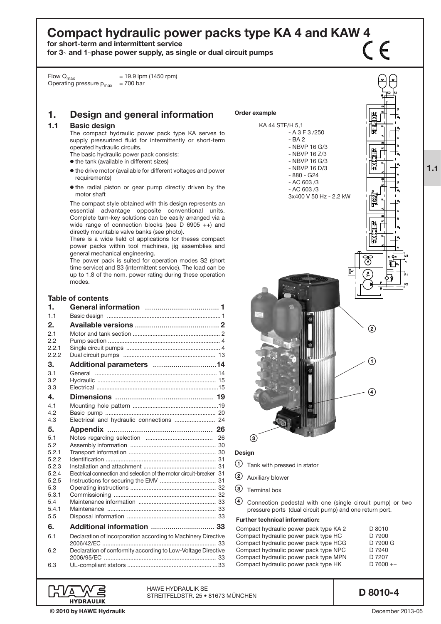# Compact hydraulic power packs type KA 4 and KAW 4  $\bigcap$

for short-term and intermittent service

for  $3-$  and  $1$ -phase power supply, as single or dual circuit pumps

Flow  $Q_{\text{max}}$  = 19.9 lpm (1450 rpm) Operating pressure  $p_{max}$  = 700 bar

# 1. Design and general information

# 1.1 Basic design

The compact hydraulic power pack type KA serves to supply pressurized fluid for intermittently or short-term operated hydraulic circuits.

- The basic hydraulic power pack consists:
- o the tank (available in different sizes)
- $\bullet$  the drive motor (available for different voltages and power requirements)
- $\bullet$  the radial piston or gear pump directly driven by the motor shaft

The compact style obtained with this design represents an essential advantage opposite conventional units. Complete turn-key solutions can be easily arranged via a wide range of connection blocks (see D 6905 ++) and directly mountable valve banks (see photo).

There is a wide field of applications for theses compact power packs within tool machines, jig assemblies and general mechanical engineering.

The power pack is suited for operation modes S2 (short time service) and S3 (intermittent service). The load can be up to 1.8 of the nom. power rating during these operation modes.

# Table of contents

| 1.1                                                                          |  |
|------------------------------------------------------------------------------|--|
|                                                                              |  |
| 2.                                                                           |  |
| 2.1                                                                          |  |
| 2.2                                                                          |  |
| 2.2.1<br>2.2.2                                                               |  |
|                                                                              |  |
| З.                                                                           |  |
| 3.1<br>3.2                                                                   |  |
| 3.3                                                                          |  |
| 4.                                                                           |  |
| 4.1                                                                          |  |
| 4.2                                                                          |  |
| Electrical and hydraulic connections  24<br>4.3                              |  |
| 5.                                                                           |  |
| 5.1                                                                          |  |
| 5.2                                                                          |  |
| 5.2.1                                                                        |  |
| 5.2.2<br>5.2.3                                                               |  |
| Electrical connection and selection of the motor circuit-breaker 31<br>5.2.4 |  |
| 5.2.5                                                                        |  |
| 5.3                                                                          |  |
| 5.3.1                                                                        |  |
| 5.4                                                                          |  |
| 5.4.1<br>5.5                                                                 |  |
|                                                                              |  |
| Additional information  33<br>6.                                             |  |
| Declaration of incorporation according to Machinery Directive<br>6.1         |  |
| Declaration of conformity according to Low-Voltage Directive<br>6.2          |  |
| 6.3                                                                          |  |

HAWE Hydraulik SE

STREITFELDSTR. 25 • 81673 MÜNCHEN



- 
- (2) Auxiliary blower
- **3** Terminal box
- > Connection pedestal with one (single circuit pump) or two pressure ports (dual circuit pump) and one return port.

#### Further technical information:

| Compact hydraulic power pack type KA 2 | D 8010      |
|----------------------------------------|-------------|
| Compact hydraulic power pack type HC   | D 7900      |
| Compact hydraulic power pack type HCG  | D 7900 G    |
| Compact hydraulic power pack type NPC  | D 7940      |
| Compact hydraulic power pack type MPN  | D 7207      |
| Compact hydraulic power pack type HK   | $D7600 + +$ |

D 8010-4

' Δ **HYDRAULIK**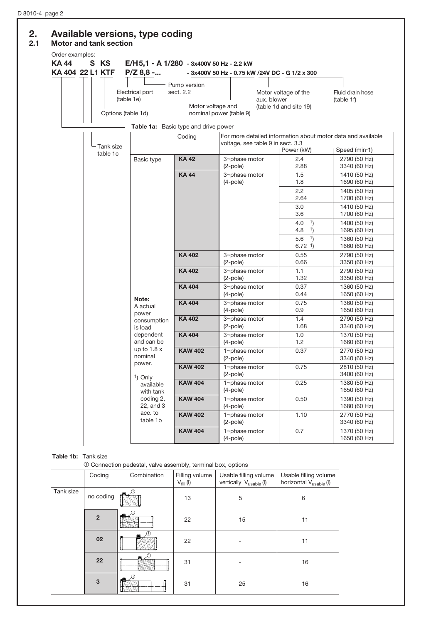# 2. Available versions, type coding

## 2.1 Motor and tank section

| Order examples:<br><b>KA 44</b> | S KS<br>KA 404 22 L1 KTF | E/H5,1 - A 1/280 - 3x400V 50 Hz - 2.2 kW<br>$P/Z$ 8,8 - |                                                                                        | - 3x400V 50 Hz - 0.75 kW /24V DC - G 1/2 x 300 |                                                |                                                                               |
|---------------------------------|--------------------------|---------------------------------------------------------|----------------------------------------------------------------------------------------|------------------------------------------------|------------------------------------------------|-------------------------------------------------------------------------------|
|                                 | Options (table 1d)       | Electrical port<br>(table 1e)                           | Pump version<br>sect. 2.2<br>Motor voltage and<br>Table 1a: Basic type and drive power | aux. blower<br>nominal power (table 9)         | Motor voltage of the<br>(table 1d and site 19) | Fluid drain hose<br>(table 1f)                                                |
|                                 | Tank size                |                                                         | Coding                                                                                 | voltage, see table 9 in sect. 3.3              | Power (kW)                                     | For more detailed information about motor data and available<br>Speed (min-1) |
|                                 | table 1c                 | Basic type                                              | <b>KA42</b>                                                                            | 3~phase motor<br>$(2-pole)$                    | 2.4<br>2.88                                    | 2790 (50 Hz)<br>3340 (60 Hz)                                                  |
|                                 |                          |                                                         | <b>KA44</b>                                                                            | 3~phase motor<br>$(4-pole)$                    | 1.5<br>1.8<br>2.2<br>2.64                      | 1410 (50 Hz)<br>1690 (60 Hz)<br>1405 (50 Hz)<br>1700 (60 Hz)                  |
|                                 |                          |                                                         |                                                                                        |                                                | 3.0<br>3.6<br>4.0<br>1)<br>4.8<br>1)           | 1410 (50 Hz)<br>1700 (60 Hz)<br>1400 (50 Hz)<br>1695 (60 Hz)                  |
|                                 |                          |                                                         |                                                                                        |                                                | 1)<br>5.6<br>$6.72 \t1)$                       | 1360 (50 Hz)<br>1660 (60 Hz)                                                  |
|                                 |                          |                                                         | <b>KA 402</b>                                                                          | 3~phase motor<br>$(2-pole)$                    | 0.55<br>0.66                                   | 2790 (50 Hz)<br>3350 (60 Hz)                                                  |
|                                 |                          |                                                         | <b>KA 402</b>                                                                          | 3~phase motor<br>$(2-pole)$                    | 1.1<br>1.32                                    | 2790 (50 Hz)<br>3350 (60 Hz)                                                  |
|                                 |                          | Note:                                                   | <b>KA 404</b>                                                                          | 3~phase motor<br>$(4-pole)$                    | 0.37<br>0.44                                   | 1360 (50 Hz)<br>1650 (60 Hz)                                                  |
|                                 |                          | A actual<br>power                                       | <b>KA 404</b>                                                                          | 3~phase motor<br>$(4-pole)$                    | 0.75<br>0.9                                    | 1360 (50 Hz)<br>1650 (60 Hz)                                                  |
|                                 |                          | consumption<br>is load                                  | <b>KA 402</b>                                                                          | 3~phase motor<br>$(2-pole)$                    | 1.4<br>1.68                                    | 2790 (50 Hz)<br>3340 (60 Hz)                                                  |
|                                 |                          | dependent<br>and can be                                 | <b>KA 404</b>                                                                          | 3~phase motor<br>$(4-pole)$                    | 1.0<br>1.2                                     | 1370 (50 Hz)<br>1660 (60 Hz)                                                  |
|                                 |                          | up to $1.8x$<br>nominal<br>power.                       | <b>KAW 402</b>                                                                         | 1~phase motor<br>$(2-pole)$                    | 0.37                                           | 2770 (50 Hz)<br>3340 (60 Hz)                                                  |
|                                 |                          | <sup>1</sup> ) Only                                     | <b>KAW 402</b>                                                                         | 1~phase motor<br>$(2-pole)$                    | 0.75                                           | 2810 (50 Hz)<br>3400 (60 Hz)                                                  |
|                                 |                          | available<br>with tank                                  | <b>KAW 404</b>                                                                         | 1~phase motor<br>$(4-pole)$                    | 0.25                                           | 1380 (50 Hz)<br>1650 (60 Hz)                                                  |
|                                 |                          | coding 2,<br>22, and 3                                  | <b>KAW 404</b>                                                                         | 1~phase motor<br>$(4-pole)$                    | 0.50                                           | 1390 (50 Hz)<br>1680 (60 Hz)                                                  |
|                                 |                          | acc. to<br>table 1b                                     | <b>KAW 402</b>                                                                         | 1~phase motor<br>$(2-pole)$                    | 1.10                                           | 2770 (50 Hz)<br>3340 (60 Hz)                                                  |
|                                 |                          |                                                         | <b>KAW 404</b>                                                                         | 1~phase motor<br>$(4-pole)$                    | 0.7                                            | 1370 (50 Hz)<br>1650 (60 Hz)                                                  |

# Table 1b: Tank size

 $\odot$  Connection pedestal, valve assembly, terminal box, options

|           | Coding         | Combination        | Filling volume<br>$V_{fill}$ (l) | Usable filling volume<br>vertically $V_{\text{usable}}(I)$ | Usable filling volume<br>horizontal V <sub>usable</sub> (I) |
|-----------|----------------|--------------------|----------------------------------|------------------------------------------------------------|-------------------------------------------------------------|
| Tank size | no coding      | - 17.<br>$-100$    | 13                               | 5                                                          | 6                                                           |
|           | $\overline{2}$ | التلم              | 22                               | 15                                                         | 11                                                          |
|           | 02             |                    | 22                               |                                                            | 11                                                          |
|           | 22             | $\mathcal{L}$<br>图 | 31                               |                                                            | 16                                                          |
|           | 3              | $\blacksquare$     | 31                               | 25                                                         | 16                                                          |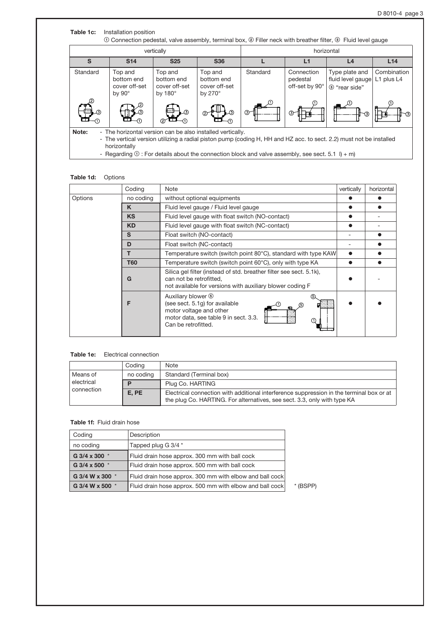| S<br>Standard | <b>S14</b><br>Top and                        | <b>S25</b><br>Top and                         | <b>S36</b>                                               |          | L1                                       | L <sub>4</sub>                                       |                           |
|---------------|----------------------------------------------|-----------------------------------------------|----------------------------------------------------------|----------|------------------------------------------|------------------------------------------------------|---------------------------|
|               |                                              |                                               |                                                          |          |                                          |                                                      | L14                       |
|               | bottom end<br>cover off-set<br>by $90^\circ$ | bottom end<br>cover off-set<br>by $180^\circ$ | Top and<br>bottom end<br>cover off-set<br>by $270^\circ$ | Standard | Connection<br>pedestal<br>off-set by 90° | Type plate and<br>fluid level gauge<br>3 "rear side" | Combination<br>L1 plus L4 |
|               |                                              | L3)                                           | D.                                                       | $\odot$  | ⊙⊣                                       | -3                                                   |                           |

### Table 1d: Options

|         | Coding     | Note                                                                                                                                                            | vertically | horizontal |
|---------|------------|-----------------------------------------------------------------------------------------------------------------------------------------------------------------|------------|------------|
| Options | no coding  | without optional equipments                                                                                                                                     |            |            |
|         | K          | Fluid level gauge / Fluid level gauge                                                                                                                           |            |            |
|         | <b>KS</b>  | Fluid level gauge with float switch (NO-contact)                                                                                                                |            |            |
|         | <b>KD</b>  | Fluid level gauge with float switch (NC-contact)                                                                                                                |            |            |
|         | S          | Float switch (NO-contact)                                                                                                                                       |            |            |
|         | D          | Float switch (NC-contact)                                                                                                                                       |            |            |
|         |            | Temperature switch (switch point 80°C), standard with type KAW                                                                                                  |            |            |
|         | <b>T60</b> | Temperature switch (switch point 60°C), only with type KA                                                                                                       |            |            |
|         | G          |                                                                                                                                                                 |            |            |
|         | F          | Auxiliary blower <sup>®</sup><br>(see sect. 5.1g) for available<br>ග<br>motor voltage and other<br>motor data, see table 9 in sect. 3.3.<br>Can be retrofitted. |            |            |

# Table 1e: Electrical connection

|            | Codina    | Note                                                                                                                                                                 |
|------------|-----------|----------------------------------------------------------------------------------------------------------------------------------------------------------------------|
| Means of   | no coding | Standard (Terminal box)                                                                                                                                              |
| electrical |           | Plug Co. HARTING                                                                                                                                                     |
| connection | E. PE     | Electrical connection with additional interference suppression in the terminal box or at<br>the plug Co. HARTING. For alternatives, see sect. 3.3, only with type KA |

#### Table 1f: Fluid drain hose

| Coding          | Description                                              |            |
|-----------------|----------------------------------------------------------|------------|
| no coding       | Tapped plug G 3/4 *                                      |            |
| G 3/4 x 300 *   | Fluid drain hose approx. 300 mm with ball cock           |            |
| G 3/4 x 500 *   | Fluid drain hose approx. 500 mm with ball cock           |            |
| G 3/4 W x 300 * | Fluid drain hose approx. 300 mm with elbow and ball cock |            |
| G 3/4 W x 500 * | Fluid drain hose approx. 500 mm with elbow and ball cock | $*$ (BSPP) |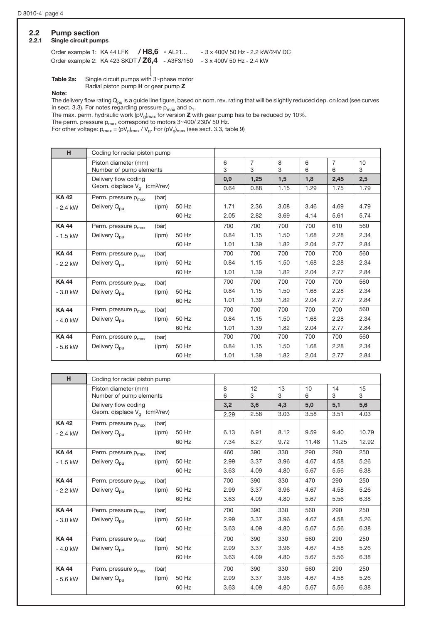# 2.2 Pump section<br>2.2.1 Single circuit pum

# Single circuit pumps

Order example 1: KA 44 LFK / H8,6 - AL21... - 3 x 400V 50 Hz - 2.2 kW/24V DC Order example 2: KA 423 SKDT / Z6,4 - A3F3/150 - 3 x 400V 50 Hz - 2.4 kW

**Table 2a:** Single circuit pumps with  $3$ ~phase motor

Radial piston pump H or gear pump Z

Note:

The delivery flow rating  $Q_{pu}$  is a guide line figure, based on nom. rev. rating that will be slightly reduced dep. on load (see curves in sect. 3.3). For notes regarding pressure  $p_{max}$  and  $p_1$ .

The max. perm. hydraulic work (pV $_{\rm g})_{\rm max}$  for version **Z** with gear pump has to be reduced by 10%.

The perm. pressure  $p_{\sf max}$  correspond to motors 3~400/ 230V 50 Hz.

For other voltage:  $\mathsf{p}_{\mathsf{max}}$  = (pV $_\mathsf{g})_{\mathsf{max}}$  / V $_\mathsf{g}$ . For (pV $_\mathsf{g})_{\mathsf{max}}$  (see sect. 3.3, table 9)

| H           | Coding for radial piston pump                   |        |                     |        |        |                     |         |      |      |
|-------------|-------------------------------------------------|--------|---------------------|--------|--------|---------------------|---------|------|------|
|             | Piston diameter (mm)<br>Number of pump elements | 6<br>3 | $\overline{7}$<br>3 | 8<br>3 | 6<br>6 | $\overline{7}$<br>6 | 10<br>3 |      |      |
|             | Delivery flow coding                            |        |                     | 0,9    | 1,25   | 1,5                 | 1,8     | 2,45 | 2,5  |
|             | Geom. displace $V_q$ (cm <sup>3</sup> /rev)     |        |                     | 0.64   | 0.88   | 1.15                | 1.29    | 1.75 | 1.79 |
| <b>KA42</b> | Perm. pressure p <sub>max</sub>                 | (bar)  |                     |        |        |                     |         |      |      |
| $-2.4$ kW   | Delivery Q <sub>pu</sub>                        | (lpm)  | 50 Hz               | 1.71   | 2.36   | 3.08                | 3.46    | 4.69 | 4.79 |
|             |                                                 |        | 60 Hz               | 2.05   | 2.82   | 3.69                | 4.14    | 5.61 | 5.74 |
| <b>KA44</b> | Perm. pressure p <sub>max</sub>                 | (bar)  |                     | 700    | 700    | 700                 | 700     | 610  | 560  |
| $-1.5$ kW   | Delivery Q <sub>pu</sub>                        | (lpm)  | 50 Hz               | 0.84   | 1.15   | 1.50                | 1.68    | 2.28 | 2.34 |
|             |                                                 |        | 60 Hz               | 1.01   | 1.39   | 1.82                | 2.04    | 2.77 | 2.84 |
| <b>KA44</b> | Perm. pressure p <sub>max</sub>                 | (bar)  |                     | 700    | 700    | 700                 | 700     | 700  | 560  |
| $-2.2$ kW   | Delivery Q <sub>pu</sub>                        | (lpm)  | 50 Hz               | 0.84   | 1.15   | 1.50                | 1.68    | 2.28 | 2.34 |
|             |                                                 |        | 60 Hz               | 1.01   | 1.39   | 1.82                | 2.04    | 2.77 | 2.84 |
| <b>KA44</b> | Perm. pressure p <sub>max</sub>                 | (bar)  |                     | 700    | 700    | 700                 | 700     | 700  | 560  |
| $-3.0$ kW   | Delivery Q <sub>pu</sub>                        | (lpm)  | 50 Hz               | 0.84   | 1.15   | 1.50                | 1.68    | 2.28 | 2.34 |
|             |                                                 |        | 60 Hz               | 1.01   | 1.39   | 1.82                | 2.04    | 2.77 | 2.84 |
| <b>KA44</b> | Perm. pressure p <sub>max</sub>                 | (bar)  |                     | 700    | 700    | 700                 | 700     | 700  | 560  |
| $-4.0$ kW   | Delivery Q <sub>pu</sub>                        | (lpm)  | 50 Hz               | 0.84   | 1.15   | 1.50                | 1.68    | 2.28 | 2.34 |
|             |                                                 |        | 60 Hz               | 1.01   | 1.39   | 1.82                | 2.04    | 2.77 | 2.84 |
| <b>KA44</b> | Perm. pressure p <sub>max</sub>                 | (bar)  |                     | 700    | 700    | 700                 | 700     | 700  | 560  |
| $-5.6$ kW   | Delivery Q <sub>pu</sub>                        | (lpm)  | 50 Hz               | 0.84   | 1.15   | 1.50                | 1.68    | 2.28 | 2.34 |
|             |                                                 |        | 60 Hz               | 1.01   | 1.39   | 1.82                | 2.04    | 2.77 | 2.84 |

| H.          | Coding for radial piston pump                   |       |       |        |         |         |         |         |         |
|-------------|-------------------------------------------------|-------|-------|--------|---------|---------|---------|---------|---------|
|             | Piston diameter (mm)<br>Number of pump elements |       |       | 8<br>6 | 12<br>3 | 13<br>З | 10<br>6 | 14<br>3 | 15<br>3 |
|             | Delivery flow coding                            |       |       | 3,2    | 3,6     | 4,3     | 5,0     | 5,1     | 5,6     |
|             | Geom. displace $V_a$ (cm <sup>3</sup> /rev)     |       |       | 2.29   | 2.58    | 3.03    | 3.58    | 3.51    | 4.03    |
| <b>KA42</b> | Perm. pressure p <sub>max</sub>                 | (bar) |       |        |         |         |         |         |         |
| $-2.4$ kW   | Delivery Q <sub>pu</sub>                        | (lpm) | 50 Hz | 6.13   | 6.91    | 8.12    | 9.59    | 9.40    | 10.79   |
|             |                                                 |       | 60 Hz | 7.34   | 8.27    | 9.72    | 11.48   | 11.25   | 12.92   |
| <b>KA44</b> | Perm. pressure p <sub>max</sub>                 | (bar) |       | 460    | 390     | 330     | 290     | 290     | 250     |
| $-1.5$ kW   | Delivery Q <sub>pu</sub>                        | (lpm) | 50 Hz | 2.99   | 3.37    | 3.96    | 4.67    | 4.58    | 5.26    |
|             |                                                 |       | 60 Hz | 3.63   | 4.09    | 4.80    | 5.67    | 5.56    | 6.38    |
| <b>KA44</b> | Perm. pressure p <sub>max</sub>                 | (bar) |       | 700    | 390     | 330     | 470     | 290     | 250     |
| $-2.2$ kW   | Delivery Q <sub>pu</sub>                        | (lpm) | 50 Hz | 2.99   | 3.37    | 3.96    | 4.67    | 4.58    | 5.26    |
|             |                                                 |       | 60 Hz | 3.63   | 4.09    | 4.80    | 5.67    | 5.56    | 6.38    |
| <b>KA44</b> | Perm. pressure p <sub>max</sub>                 | (bar) |       | 700    | 390     | 330     | 560     | 290     | 250     |
| $-3.0$ kW   | Delivery Q <sub>pu</sub>                        | (lpm) | 50 Hz | 2.99   | 3.37    | 3.96    | 4.67    | 4.58    | 5.26    |
|             |                                                 |       | 60 Hz | 3.63   | 4.09    | 4.80    | 5.67    | 5.56    | 6.38    |
| <b>KA44</b> | Perm. pressure p <sub>max</sub>                 | (bar) |       | 700    | 390     | 330     | 560     | 290     | 250     |
| $-4.0$ kW   | Delivery Q <sub>pu</sub>                        | (lpm) | 50 Hz | 2.99   | 3.37    | 3.96    | 4.67    | 4.58    | 5.26    |
|             |                                                 |       | 60 Hz | 3.63   | 4.09    | 4.80    | 5.67    | 5.56    | 6.38    |
| <b>KA44</b> | Perm. pressure p <sub>max</sub>                 | (bar) |       | 700    | 390     | 330     | 560     | 290     | 250     |
| $-5.6$ kW   | Delivery Q <sub>pu</sub>                        | (lpm) | 50 Hz | 2.99   | 3.37    | 3.96    | 4.67    | 4.58    | 5.26    |
|             |                                                 |       | 60 Hz | 3.63   | 4.09    | 4.80    | 5.67    | 5.56    | 6.38    |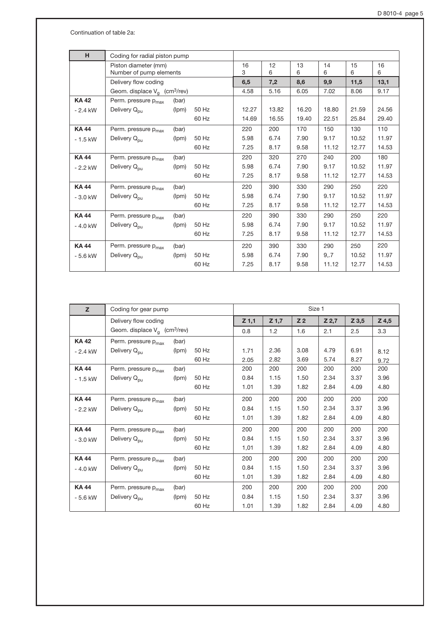Continuation of table 2a:

| H.          | Coding for radial piston pump               |                         |       |       |       |         |         |         |         |
|-------------|---------------------------------------------|-------------------------|-------|-------|-------|---------|---------|---------|---------|
|             | Piston diameter (mm)                        | Number of pump elements |       |       |       | 13<br>6 | 14<br>6 | 15<br>6 | 16<br>6 |
|             | Delivery flow coding                        |                         |       |       |       | 8,6     | 9,9     | 11,5    | 13,1    |
|             | Geom. displace $V_a$ (cm <sup>3</sup> /rev) |                         |       | 4.58  | 5.16  | 6.05    | 7.02    | 8.06    | 9.17    |
| <b>KA42</b> | Perm. pressure p <sub>max</sub>             | (bar)                   |       |       |       |         |         |         |         |
| $-2.4$ kW   | Delivery Q <sub>pu</sub>                    | (lpm)                   | 50 Hz | 12.27 | 13.82 | 16.20   | 18.80   | 21.59   | 24.56   |
|             |                                             |                         | 60 Hz | 14.69 | 16.55 | 19.40   | 22.51   | 25.84   | 29.40   |
| <b>KA44</b> | Perm. pressure p <sub>max</sub>             | (bar)                   |       | 220   | 200   | 170     | 150     | 130     | 110     |
| $-1.5$ kW   | Delivery Q <sub>pu</sub>                    | (lpm)                   | 50 Hz | 5.98  | 6.74  | 7.90    | 9.17    | 10.52   | 11.97   |
|             |                                             |                         | 60 Hz | 7.25  | 8.17  | 9.58    | 11.12   | 12.77   | 14.53   |
| <b>KA44</b> | Perm. pressure p <sub>max</sub>             | (bar)                   |       | 220   | 320   | 270     | 240     | 200     | 180     |
| $-2.2$ kW   | Delivery Q <sub>pu</sub>                    | (lpm)                   | 50 Hz | 5.98  | 6.74  | 7.90    | 9.17    | 10.52   | 11.97   |
|             |                                             |                         | 60 Hz | 7.25  | 8.17  | 9.58    | 11.12   | 12.77   | 14.53   |
| <b>KA44</b> | Perm. pressure p <sub>max</sub>             | (bar)                   |       | 220   | 390   | 330     | 290     | 250     | 220     |
| $-3.0$ kW   | Delivery Q <sub>pu</sub>                    | (lpm)                   | 50 Hz | 5.98  | 6.74  | 7.90    | 9.17    | 10.52   | 11.97   |
|             |                                             |                         | 60 Hz | 7.25  | 8.17  | 9.58    | 11.12   | 12.77   | 14.53   |
| <b>KA44</b> | Perm. pressure p <sub>max</sub>             | (bar)                   |       | 220   | 390   | 330     | 290     | 250     | 220     |
| $-4.0$ kW   | Delivery Q <sub>pu</sub>                    | (lpm)                   | 50 Hz | 5.98  | 6.74  | 7.90    | 9.17    | 10.52   | 11.97   |
|             |                                             |                         | 60 Hz | 7.25  | 8.17  | 9.58    | 11.12   | 12.77   | 14.53   |
| <b>KA44</b> | Perm. pressure p <sub>max</sub>             | (bar)                   |       | 220   | 390   | 330     | 290     | 250     | 220     |
| $-5.6$ kW   | Delivery Q <sub>pu</sub>                    | (lpm)                   | 50 Hz | 5.98  | 6.74  | 7.90    | 9,7     | 10.52   | 11.97   |
|             |                                             |                         | 60 Hz | 7.25  | 8.17  | 9.58    | 11.12   | 12.77   | 14.53   |
|             |                                             |                         |       |       |       |         |         |         |         |

| $\mathbf{z}$ | Coding for gear pump                        |       |       |         |         | Size 1         |         |         |         |
|--------------|---------------------------------------------|-------|-------|---------|---------|----------------|---------|---------|---------|
|              | Delivery flow coding                        |       |       | $Z$ 1,1 | $Z$ 1,7 | Z <sub>2</sub> | $Z$ 2,7 | $Z$ 3,5 | $Z$ 4,5 |
|              | Geom. displace $V_q$ (cm <sup>3</sup> /rev) | 0.8   | 1.2   | 1.6     | 2.1     | 2.5            | 3.3     |         |         |
| <b>KA42</b>  | Perm. pressure p <sub>max</sub>             | (bar) |       |         |         |                |         |         |         |
| $-2.4$ kW    | Delivery Q <sub>pu</sub>                    | (lpm) | 50 Hz | 1.71    | 2.36    | 3.08           | 4.79    | 6.91    | 8.12    |
|              |                                             |       | 60 Hz | 2.05    | 2.82    | 3.69           | 5.74    | 8.27    | 9.72    |
| <b>KA44</b>  | Perm. pressure p <sub>max</sub>             | (bar) |       | 200     | 200     | 200            | 200     | 200     | 200     |
| $-1.5$ kW    | Delivery Q <sub>pu</sub>                    | (lpm) | 50 Hz | 0.84    | 1.15    | 1.50           | 2.34    | 3.37    | 3.96    |
|              |                                             |       | 60 Hz | 1.01    | 1.39    | 1.82           | 2.84    | 4.09    | 4.80    |
| <b>KA44</b>  | Perm. pressure p <sub>max</sub>             | (bar) |       | 200     | 200     | 200            | 200     | 200     | 200     |
| $-2.2$ kW    | Delivery Q <sub>pu</sub>                    | (lpm) | 50 Hz | 0.84    | 1.15    | 1.50           | 2.34    | 3.37    | 3.96    |
|              |                                             |       | 60 Hz | 1.01    | 1.39    | 1.82           | 2.84    | 4.09    | 4.80    |
| <b>KA44</b>  | Perm. pressure p <sub>max</sub>             | (bar) |       | 200     | 200     | 200            | 200     | 200     | 200     |
| $-3.0$ kW    | Delivery Q <sub>pu</sub>                    | (lpm) | 50 Hz | 0.84    | 1.15    | 1.50           | 2.34    | 3.37    | 3.96    |
|              |                                             |       | 60 Hz | 1,01    | 1.39    | 1.82           | 2.84    | 4.09    | 4.80    |
| <b>KA44</b>  | Perm. pressure p <sub>max</sub>             | (bar) |       | 200     | 200     | 200            | 200     | 200     | 200     |
| $-4.0$ kW    | Delivery Q <sub>pu</sub>                    | (lpm) | 50 Hz | 0.84    | 1.15    | 1.50           | 2.34    | 3.37    | 3.96    |
|              |                                             |       | 60 Hz | 1.01    | 1.39    | 1.82           | 2.84    | 4.09    | 4.80    |
| <b>KA44</b>  | Perm. pressure p <sub>max</sub>             | (bar) |       | 200     | 200     | 200            | 200     | 200     | 200     |
| $-5.6$ kW    | Delivery Q <sub>pu</sub>                    | (lpm) | 50 Hz | 0.84    | 1.15    | 1.50           | 2.34    | 3.37    | 3.96    |
|              |                                             |       | 60 Hz | 1.01    | 1.39    | 1.82           | 2.84    | 4.09    | 4.80    |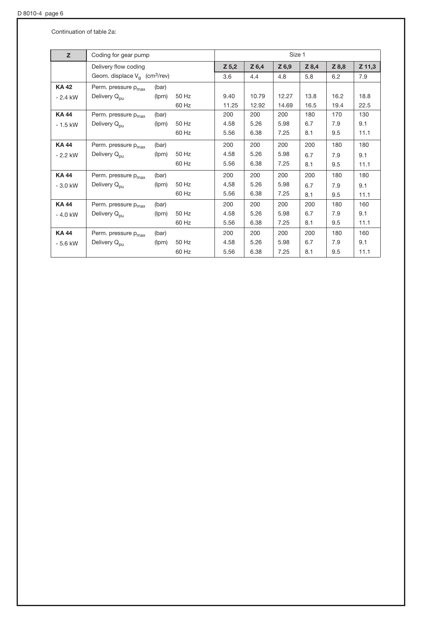Continuation of table 2a:

| z           | Coding for gear pump                        |       |       |         |       | Size 1  |         |       |          |
|-------------|---------------------------------------------|-------|-------|---------|-------|---------|---------|-------|----------|
|             | Delivery flow coding                        |       |       | $Z$ 5,2 | Z 6,4 | $Z$ 6,9 | $Z$ 8,4 | Z 8,8 | $Z$ 11,3 |
|             | Geom. displace $V_q$ (cm <sup>3</sup> /rev) |       |       | 3.6     | 4.4   | 4.8     | 5.8     | 6.2   | 7.9      |
| <b>KA42</b> | Perm. pressure p <sub>max</sub>             | (bar) |       |         |       |         |         |       |          |
| $-2.4$ kW   | Delivery Q <sub>pu</sub>                    | (lpm) | 50 Hz | 9.40    | 10.79 | 12.27   | 13.8    | 16.2  | 18.8     |
|             |                                             |       | 60 Hz | 11.25   | 12.92 | 14.69   | 16.5    | 19.4  | 22.5     |
| <b>KA44</b> | Perm. pressure p <sub>max</sub>             | (bar) |       | 200     | 200   | 200     | 180     | 170   | 130      |
| $-1.5$ kW   | Delivery Q <sub>pu</sub>                    | (lpm) | 50 Hz | 4.58    | 5.26  | 5.98    | 6.7     | 7.9   | 9.1      |
|             |                                             |       | 60 Hz | 5.56    | 6.38  | 7.25    | 8.1     | 9.5   | 11.1     |
| <b>KA44</b> | Perm. pressure p <sub>max</sub>             | (bar) |       | 200     | 200   | 200     | 200     | 180   | 180      |
| $-2.2$ kW   | Delivery Q <sub>pu</sub>                    | (lpm) | 50 Hz | 4.58    | 5.26  | 5.98    | 6.7     | 7.9   | 9.1      |
|             |                                             |       | 60 Hz | 5.56    | 6.38  | 7.25    | 8.1     | 9.5   | 11.1     |
| <b>KA44</b> | Perm. pressure p <sub>max</sub>             | (bar) |       | 200     | 200   | 200     | 200     | 180   | 180      |
| $-3.0$ kW   | Delivery Q <sub>pu</sub>                    | (lpm) | 50 Hz | 4,58    | 5.26  | 5.98    | 6.7     | 7.9   | 9.1      |
|             |                                             |       | 60 Hz | 5.56    | 6.38  | 7.25    | 8.1     | 9.5   | 11.1     |
| <b>KA44</b> | Perm. pressure p <sub>max</sub>             | (bar) |       | 200     | 200   | 200     | 200     | 180   | 160      |
| $-4.0$ kW   | Delivery Q <sub>pu</sub>                    | (lpm) | 50 Hz | 4.58    | 5.26  | 5.98    | 6.7     | 7.9   | 9.1      |
|             |                                             |       | 60 Hz | 5.56    | 6.38  | 7.25    | 8.1     | 9.5   | 11.1     |
| <b>KA44</b> | Perm. pressure p <sub>max</sub>             | (bar) |       | 200     | 200   | 200     | 200     | 180   | 160      |
| $-5.6$ kW   | Delivery Q <sub>pu</sub>                    | (lpm) | 50 Hz | 4.58    | 5.26  | 5.98    | 6.7     | 7.9   | 9.1      |
|             |                                             |       | 60 Hz | 5.56    | 6.38  | 7.25    | 8.1     | 9.5   | 11.1     |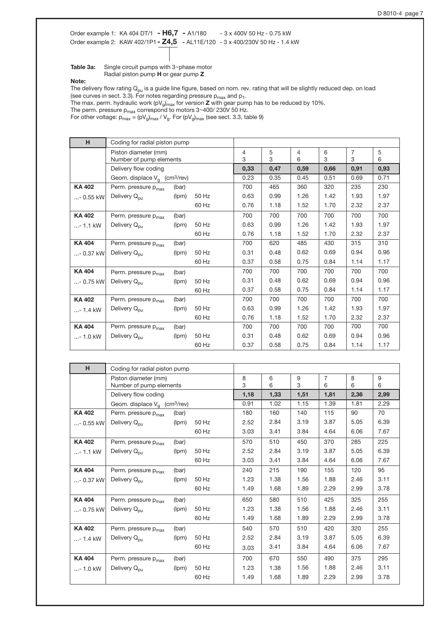Order example 1: KA 404 DT/1 - H6,7 - A1/180 - 3 x 400V 50 Hz - 0.75 kW Order example 2: KAW 402/1P1 - Z4,5 - AL11E/120 - 3 x 400/230V 50 Hz - 1.4 kW

Table  $3a$ : Single circuit pumps with  $3 \sim$ phase motor Radial piston pump H or gear pump Z

Note:

The delivery flow rating  $Q_{pu}$  is a guide line figure, based on nom. rev. rating that will be slightly reduced dep. on load (see curves in sect. 3.3). For notes regarding pressure  $\mathsf{p}_{\mathsf{max}}$  and  $\mathsf{p}_1.$ 

The max. perm. hydraulic work (pV $_{\rm g})_{\rm max}$  for version **Z** with gear pump has to be reduced by 10%.

The perm. pressure  $p_{max}$  correspond to motors 3~400/ 230V 50 Hz.

For other voltage:  $\mathsf{p}_{\mathsf{max}}$  = (pV $_{\mathsf{g}}$ )<sub>max</sub> / V<sub>g</sub>. For (pV $_{\mathsf{g}}$ )<sub>max</sub> (see sect. 3.3, table 9)

| н             |                                             | Coding for radial piston pump |       |        |        |                |        |                     |        |
|---------------|---------------------------------------------|-------------------------------|-------|--------|--------|----------------|--------|---------------------|--------|
|               | Piston diameter (mm)                        |                               |       | 4<br>3 | 5<br>3 | $\overline{4}$ | 6<br>3 | $\overline{7}$<br>3 | 5<br>6 |
|               | Number of pump elements                     |                               |       |        |        | 6              |        |                     |        |
|               | Delivery flow coding                        |                               |       | 0,33   | 0,47   | 0,59           | 0,66   | 0,91                | 0,93   |
|               | Geom. displace $V_a$ (cm <sup>3</sup> /rev) |                               |       | 0.23   | 0.35   | 0.45           | 0.51   | 0.69                | 0.71   |
| <b>KA 402</b> | Perm. pressure p <sub>max</sub>             | (bar)                         |       | 700    | 465    | 360            | 320    | 235                 | 230    |
| $ - 0.55$ kW  | Delivery Q <sub>pu</sub>                    | (lpm)                         | 50 Hz | 0.63   | 0.99   | 1.26           | 1.42   | 1.93                | 1.97   |
|               |                                             |                               | 60 Hz | 0.76   | 1.18   | 1.52           | 1.70   | 2.32                | 2.37   |
| <b>KA 402</b> | Perm. pressure p <sub>max</sub>             | (bar)                         |       | 700    | 700    | 700            | 700    | 700                 | 700    |
| $ - 1.1$ kW   | Delivery Q <sub>pu</sub>                    | (lpm)                         | 50 Hz | 0.63   | 0.99   | 1.26           | 1.42   | 1.93                | 1.97   |
|               |                                             |                               | 60 Hz | 0.76   | 1.18   | 1.52           | 1.70   | 2.32                | 2.37   |
| KA 404        | Perm. pressure p <sub>max</sub>             | (bar)                         |       | 700    | 620    | 485            | 430    | 315                 | 310    |
| $$ - 0.37 kW  | Delivery Q <sub>pu</sub>                    | (lpm)                         | 50 Hz | 0.31   | 0.48   | 0.62           | 0.69   | 0.94                | 0.96   |
|               |                                             |                               | 60 Hz | 0.37   | 0.58   | 0.75           | 0.84   | 1.14                | 1.17   |
| <b>KA404</b>  | Perm. pressure p <sub>max</sub>             | (bar)                         |       | 700    | 700    | 700            | 700    | 700                 | 700    |
| $ - 0.75$ kW  | Delivery Q <sub>pu</sub>                    | (lpm)                         | 50 Hz | 0.31   | 0.48   | 0.62           | 0.69   | 0.94                | 0.96   |
|               |                                             |                               | 60 Hz | 0.37   | 0.58   | 0.75           | 0.84   | 1.14                | 1.17   |
| <b>KA 402</b> | Perm. pressure p <sub>max</sub>             | (bar)                         |       | 700    | 700    | 700            | 700    | 700                 | 700    |
| $ - 1.4$ kW   | Delivery Q <sub>pu</sub>                    | (lpm)                         | 50 Hz | 0.63   | 0.99   | 1.26           | 1.42   | 1.93                | 1.97   |
|               |                                             |                               | 60 Hz | 0.76   | 1.18   | 1.52           | 1.70   | 2.32                | 2.37   |
| <b>KA 404</b> | Perm. pressure p <sub>max</sub>             | (bar)                         |       | 700    | 700    | 700            | 700    | 700                 | 700    |
| $ - 1.0$ kW   | Delivery Q <sub>pu</sub>                    | (lpm)                         | 50 Hz | 0.31   | 0.48   | 0.62           | 0.69   | 0.94                | 0.96   |
|               |                                             |                               | 60 Hz | 0.37   | 0.58   | 0.75           | 0.84   | 1.14                | 1.17   |

| H.           |                                             | Coding for radial piston pump |       |      |      |      |                |      |      |
|--------------|---------------------------------------------|-------------------------------|-------|------|------|------|----------------|------|------|
|              | Piston diameter (mm)                        |                               |       | 8    | 6    | 9    | $\overline{7}$ | 8    | 9    |
|              | Number of pump elements                     |                               |       | 3    | 6    | 3    | 6              | 6    | 6    |
|              | Delivery flow coding                        |                               |       | 1,18 | 1,33 | 1,51 | 1,81           | 2,36 | 2,99 |
|              | Geom. displace $V_a$ (cm <sup>3</sup> /rev) |                               |       | 0.91 | 1.02 | 1.15 | 1.39           | 1.81 | 2.29 |
| <b>KA402</b> | Perm. pressure p <sub>max</sub>             | (bar)                         |       | 180  | 160  | 140  | 115            | 90   | 70   |
| $$ - 0.55 kW | Delivery Q <sub>pu</sub>                    | (lpm)                         | 50 Hz | 2.52 | 2.84 | 3.19 | 3.87           | 5.05 | 6.39 |
|              |                                             |                               | 60 Hz | 3.03 | 3.41 | 3.84 | 4.64           | 6.06 | 7.67 |
| <b>KA402</b> | Perm. pressure p <sub>max</sub>             | (bar)                         |       | 570  | 510  | 450  | 370            | 285  | 225  |
| $ - 1.1$ kW  | Delivery Q <sub>pu</sub>                    | (lpm)                         | 50 Hz | 2.52 | 2.84 | 3.19 | 3.87           | 5.05 | 6.39 |
|              |                                             |                               | 60 Hz | 3.03 | 3.41 | 3.84 | 4.64           | 6.06 | 7.67 |
| <b>KA404</b> | Perm. pressure p <sub>max</sub>             | (bar)                         |       | 240  | 215  | 190  | 155            | 120  | 95   |
| $ - 0.37$ kW | Delivery Q <sub>pu</sub>                    | (lpm)                         | 50 Hz | 1.23 | 1.38 | 1.56 | 1.88           | 2.46 | 3.11 |
|              |                                             |                               | 60 Hz | 1.49 | 1.68 | 1.89 | 2.29           | 2.99 | 3.78 |
| <b>KA404</b> | Perm. pressure p <sub>max</sub>             | (bar)                         |       | 650  | 580  | 510  | 425            | 325  | 255  |
| $$ - 0.75 kW | Delivery Q <sub>pu</sub>                    | (lpm)                         | 50 Hz | 1.23 | 1.38 | 1.56 | 1.88           | 2.46 | 3.11 |
|              |                                             |                               | 60 Hz | 1.49 | 1.68 | 1.89 | 2.29           | 2.99 | 3.78 |
| <b>KA402</b> | Perm. pressure p <sub>max</sub>             | (bar)                         |       | 540  | 570  | 510  | 420            | 320  | 255  |
| $ - 1.4$ kW  | Delivery Q <sub>pu</sub>                    | (lpm)                         | 50 Hz | 2.52 | 2.84 | 3.19 | 3.87           | 5.05 | 6.39 |
|              |                                             |                               | 60 Hz | 3.03 | 3.41 | 3.84 | 4.64           | 6.06 | 7.67 |
| <b>KA404</b> | Perm. pressure p <sub>max</sub>             | (bar)                         |       | 700  | 670  | 550  | 490            | 375  | 295  |
| $ - 1.0$ kW  | Delivery Q <sub>pu</sub>                    | (lpm)                         | 50 Hz | 1.23 | 1.38 | 1.56 | 1.88           | 2.46 | 3.11 |
|              |                                             |                               | 60 Hz | 1.49 | 1.68 | 1.89 | 2.29           | 2.99 | 3.78 |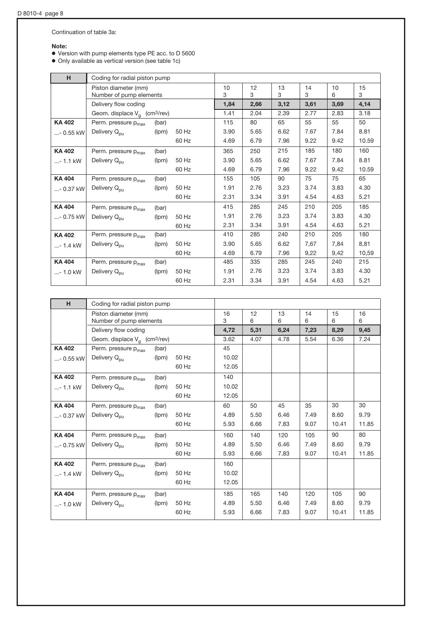Continuation of table 3a:

### Note:

o Version with pump elements type PE acc. to D 5600

• Only available as vertical version (see table 1c)

| H.           |                                                 | Coding for radial piston pump |       |         |         |         |         |         |         |
|--------------|-------------------------------------------------|-------------------------------|-------|---------|---------|---------|---------|---------|---------|
|              | Piston diameter (mm)<br>Number of pump elements |                               |       | 10<br>3 | 12<br>3 | 13<br>3 | 14<br>3 | 10<br>6 | 15<br>3 |
|              | Delivery flow coding                            |                               |       | 1,84    | 2,66    | 3,12    | 3,61    | 3,69    | 4,14    |
|              | Geom. displace $V_q$ (cm <sup>3</sup> /rev)     |                               |       | 1.41    | 2.04    | 2.39    | 2.77    | 2.83    | 3.18    |
| <b>KA402</b> | Perm. pressure p <sub>max</sub>                 | (bar)                         |       | 115     | 80      | 65      | 55      | 55      | 50      |
| - 0.55 kW    | Delivery Q <sub>pu</sub>                        | (lpm)                         | 50 Hz | 3.90    | 5.65    | 6.62    | 7.67    | 7.84    | 8.81    |
|              |                                                 |                               | 60 Hz | 4.69    | 6.79    | 7.96    | 9.22    | 9.42    | 10.59   |
| <b>KA402</b> | Perm. pressure p <sub>max</sub>                 | (bar)                         |       | 365     | 250     | 215     | 185     | 180     | 160     |
| $ - 1.1$ kW  | Delivery Q <sub>pu</sub>                        | (lpm)                         | 50 Hz | 3.90    | 5.65    | 6.62    | 7.67    | 7.84    | 8.81    |
|              |                                                 |                               | 60 Hz | 4.69    | 6.79    | 7.96    | 9.22    | 9.42    | 10.59   |
| <b>KA404</b> | Perm. pressure p <sub>max</sub>                 | (bar)                         |       | 155     | 105     | 90      | 75      | 75      | 65      |
| $ - 0.37$ kW | Delivery Q <sub>pu</sub>                        | (lpm)                         | 50 Hz | 1.91    | 2.76    | 3.23    | 3.74    | 3.83    | 4.30    |
|              |                                                 |                               | 60 Hz | 2.31    | 3.34    | 3.91    | 4.54    | 4.63    | 5.21    |
| <b>KA404</b> | Perm. pressure p <sub>max</sub>                 | (bar)                         |       | 415     | 285     | 245     | 210     | 205     | 185     |
| - 0.75 kW    | Delivery Q <sub>pu</sub>                        | (lpm)                         | 50 Hz | 1.91    | 2.76    | 3.23    | 3.74    | 3.83    | 4.30    |
|              |                                                 |                               | 60 Hz | 2.31    | 3.34    | 3.91    | 4.54    | 4.63    | 5.21    |
| <b>KA402</b> | Perm. pressure p <sub>max</sub>                 | (bar)                         |       | 410     | 285     | 240     | 210     | 205     | 180     |
| $ - 1.4$ kW  | Delivery Q <sub>pu</sub>                        | (lpm)                         | 50 Hz | 3.90    | 5.65    | 6.62    | 7,67    | 7,84    | 8,81    |
|              |                                                 |                               | 60 Hz | 4.69    | 6.79    | 7.96    | 9,22    | 9,42    | 10,59   |
| <b>KA404</b> | Perm. pressure p <sub>max</sub>                 | (bar)                         |       | 485     | 335     | 285     | 245     | 240     | 215     |
| $ - 1.0$ kW  | Delivery Q <sub>pu</sub>                        | (lpm)                         | 50 Hz | 1.91    | 2.76    | 3.23    | 3.74    | 3.83    | 4.30    |
|              |                                                 |                               | 60 Hz | 2.31    | 3.34    | 3.91    | 4.54    | 4.63    | 5.21    |

| H.           |                                                 | Coding for radial piston pump |       |         |         |         |         |         |         |
|--------------|-------------------------------------------------|-------------------------------|-------|---------|---------|---------|---------|---------|---------|
|              | Piston diameter (mm)<br>Number of pump elements |                               |       | 16<br>3 | 12<br>6 | 13<br>6 | 14<br>6 | 15<br>6 | 16<br>6 |
|              | Delivery flow coding                            |                               |       | 4,72    | 5,31    | 6,24    | 7,23    | 8,29    | 9,45    |
|              | Geom. displace $V_q$ (cm <sup>3</sup> /rev)     |                               |       | 3.62    | 4.07    | 4.78    | 5.54    | 6.36    | 7.24    |
| <b>KA402</b> | Perm. pressure p <sub>max</sub>                 | (bar)                         |       | 45      |         |         |         |         |         |
| $ - 0.55$ kW | Delivery Q <sub>pu</sub>                        | (lpm)                         | 50 Hz | 10.02   |         |         |         |         |         |
|              |                                                 |                               | 60 Hz | 12.05   |         |         |         |         |         |
| <b>KA402</b> | Perm. pressure p <sub>max</sub>                 | (bar)                         |       | 140     |         |         |         |         |         |
| $ - 1.1$ kW  | Delivery Q <sub>pu</sub>                        | (lpm)                         | 50 Hz | 10.02   |         |         |         |         |         |
|              |                                                 |                               | 60 Hz | 12.05   |         |         |         |         |         |
| <b>KA404</b> | Perm. pressure p <sub>max</sub>                 | (bar)                         |       | 60      | 50      | 45      | 35      | 30      | 30      |
| $ - 0.37$ kW | Delivery Q <sub>pu</sub>                        | (lpm)                         | 50 Hz | 4.89    | 5.50    | 6.46    | 7.49    | 8.60    | 9.79    |
|              |                                                 |                               | 60 Hz | 5.93    | 6.66    | 7.83    | 9.07    | 10.41   | 11.85   |
| <b>KA404</b> | Perm. pressure p <sub>max</sub>                 | (bar)                         |       | 160     | 140     | 120     | 105     | 90      | 80      |
| $ - 0.75$ kW | Delivery Q <sub>pu</sub>                        | (lpm)                         | 50 Hz | 4.89    | 5.50    | 6.46    | 7.49    | 8.60    | 9.79    |
|              |                                                 |                               | 60 Hz | 5.93    | 6.66    | 7.83    | 9.07    | 10.41   | 11.85   |
| <b>KA402</b> | Perm. pressure p <sub>max</sub>                 | (bar)                         |       | 160     |         |         |         |         |         |
| $ - 1.4$ kW  | Delivery Q <sub>pu</sub>                        | (lpm)                         | 50 Hz | 10.02   |         |         |         |         |         |
|              |                                                 |                               | 60 Hz | 12.05   |         |         |         |         |         |
| <b>KA404</b> | Perm. pressure p <sub>max</sub>                 | (bar)                         |       | 185     | 165     | 140     | 120     | 105     | 90      |
| $ - 1.0$ kW  | Delivery Q <sub>pu</sub>                        | (lpm)                         | 50 Hz | 4.89    | 5.50    | 6.46    | 7.49    | 8.60    | 9.79    |
|              |                                                 |                               | 60 Hz | 5.93    | 6.66    | 7.83    | 9.07    | 10.41   | 11.85   |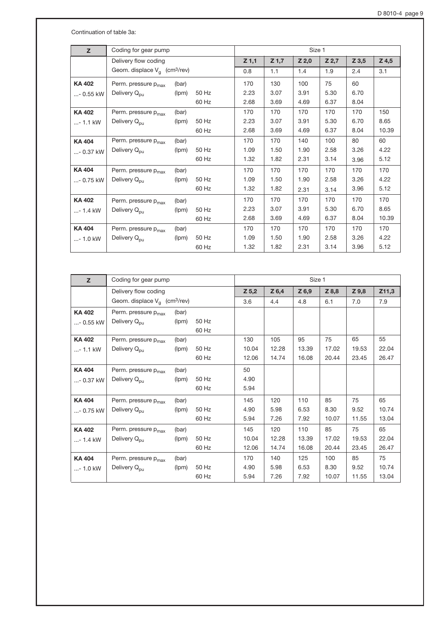Continuation of table 3a:

| Z             | Coding for gear pump                        |       |       |         |         | Size 1  |         |         |         |
|---------------|---------------------------------------------|-------|-------|---------|---------|---------|---------|---------|---------|
|               | Delivery flow coding                        |       |       | $Z$ 1,1 | $Z$ 1,7 | $Z$ 2,0 | $Z$ 2,7 | $Z$ 3,5 | $Z$ 4,5 |
|               | Geom. displace $V_g$ (cm <sup>3</sup> /rev) |       |       | 0.8     | 1.1     | 1.4     | 1.9     | 2.4     | 3.1     |
| <b>KA402</b>  | Perm. pressure p <sub>max</sub>             | (bar) |       | 170     | 130     | 100     | 75      | 60      |         |
| $ - 0.55$ kW  | Delivery Q <sub>pu</sub>                    | (lpm) | 50 Hz | 2.23    | 3.07    | 3.91    | 5.30    | 6.70    |         |
|               |                                             |       | 60 Hz | 2.68    | 3.69    | 4.69    | 6.37    | 8.04    |         |
| <b>KA402</b>  | Perm. pressure p <sub>max</sub>             | (bar) |       | 170     | 170     | 170     | 170     | 170     | 150     |
| $ - 1.1$ kW   | Delivery Q <sub>pu</sub>                    | (lpm) | 50 Hz | 2.23    | 3.07    | 3.91    | 5.30    | 6.70    | 8.65    |
|               |                                             |       | 60 Hz | 2.68    | 3.69    | 4.69    | 6.37    | 8.04    | 10.39   |
| <b>KA 404</b> | Perm. pressure p <sub>max</sub>             | (bar) |       | 170     | 170     | 140     | 100     | 80      | 60      |
| $ - 0.37$ kW  | Delivery Q <sub>pu</sub>                    | (lpm) | 50 Hz | 1.09    | 1.50    | 1.90    | 2.58    | 3.26    | 4.22    |
|               |                                             |       | 60 Hz | 1.32    | 1.82    | 2.31    | 3.14    | 3.96    | 5.12    |
| <b>KA 404</b> | Perm. pressure p <sub>max</sub>             | (bar) |       | 170     | 170     | 170     | 170     | 170     | 170     |
| $ - 0.75$ kW  | Delivery Q <sub>pu</sub>                    | (lpm) | 50 Hz | 1.09    | 1.50    | 1.90    | 2.58    | 3.26    | 4.22    |
|               |                                             |       | 60 Hz | 1.32    | 1.82    | 2.31    | 3.14    | 3.96    | 5.12    |
| <b>KA402</b>  | Perm. pressure p <sub>max</sub>             | (bar) |       | 170     | 170     | 170     | 170     | 170     | 170     |
| $ - 1.4$ kW   | Delivery Q <sub>pu</sub>                    | (lpm) | 50 Hz | 2.23    | 3.07    | 3.91    | 5.30    | 6.70    | 8.65    |
|               |                                             |       | 60 Hz | 2.68    | 3.69    | 4.69    | 6.37    | 8.04    | 10.39   |
| <b>KA404</b>  | Perm. pressure p <sub>max</sub>             | (bar) |       | 170     | 170     | 170     | 170     | 170     | 170     |
| $ - 1.0$ kW   | Delivery Q <sub>pu</sub>                    | (lpm) | 50 Hz | 1.09    | 1.50    | 1.90    | 2.58    | 3.26    | 4.22    |
|               |                                             |       | 60 Hz | 1.32    | 1.82    | 2.31    | 3.14    | 3.96    | 5.12    |

| z            | Coding for gear pump                        |       |       |       |         | Size 1 |       |         |       |
|--------------|---------------------------------------------|-------|-------|-------|---------|--------|-------|---------|-------|
|              | Delivery flow coding                        |       |       | Z 5,2 | $Z$ 6,4 | Z 6,9  | Z 8,8 | $Z$ 9,8 | Z11,3 |
|              | Geom. displace $V_a$ (cm <sup>3</sup> /rev) |       |       | 3.6   | 4.4     | 4.8    | 6.1   | 7.0     | 7.9   |
| <b>KA402</b> | Perm. pressure p <sub>max</sub>             | (bar) |       |       |         |        |       |         |       |
| $ - 0.55$ kW | Delivery Q <sub>pu</sub>                    | (lpm) | 50 Hz |       |         |        |       |         |       |
|              |                                             |       | 60 Hz |       |         |        |       |         |       |
| <b>KA402</b> | Perm. pressure p <sub>max</sub>             | (bar) |       | 130   | 105     | 95     | 75    | 65      | 55    |
| $ - 1.1$ kW  | Delivery Q <sub>pu</sub>                    | (lpm) | 50 Hz | 10.04 | 12.28   | 13.39  | 17.02 | 19.53   | 22.04 |
|              |                                             |       | 60 Hz | 12.06 | 14.74   | 16.08  | 20.44 | 23.45   | 26.47 |
| <b>KA404</b> | Perm. pressure p <sub>max</sub>             | (bar) |       | 50    |         |        |       |         |       |
| $ - 0.37$ kW | Delivery Q <sub>pu</sub>                    | (lpm) | 50 Hz | 4.90  |         |        |       |         |       |
|              |                                             |       | 60 Hz | 5.94  |         |        |       |         |       |
| <b>KA404</b> | Perm. pressure p <sub>max</sub>             | (bar) |       | 145   | 120     | 110    | 85    | 75      | 65    |
| $ - 0.75$ kW | Delivery Q <sub>pu</sub>                    | (lpm) | 50 Hz | 4.90  | 5.98    | 6.53   | 8.30  | 9.52    | 10.74 |
|              |                                             |       | 60 Hz | 5.94  | 7.26    | 7.92   | 10.07 | 11.55   | 13.04 |
| <b>KA402</b> | Perm. pressure p <sub>max</sub>             | (bar) |       | 145   | 120     | 110    | 85    | 75      | 65    |
| $ - 1.4$ kW  | Delivery Q <sub>pu</sub>                    | (lpm) | 50 Hz | 10.04 | 12.28   | 13.39  | 17.02 | 19.53   | 22.04 |
|              |                                             |       | 60 Hz | 12.06 | 14.74   | 16.08  | 20.44 | 23.45   | 26.47 |
| <b>KA404</b> | Perm. pressure p <sub>max</sub>             | (bar) |       | 170   | 140     | 125    | 100   | 85      | 75    |
| $ - 1.0$ kW  | Delivery Q <sub>pu</sub>                    | (lpm) | 50 Hz | 4.90  | 5.98    | 6.53   | 8.30  | 9.52    | 10.74 |
|              |                                             |       | 60 Hz | 5.94  | 7.26    | 7.92   | 10.07 | 11.55   | 13.04 |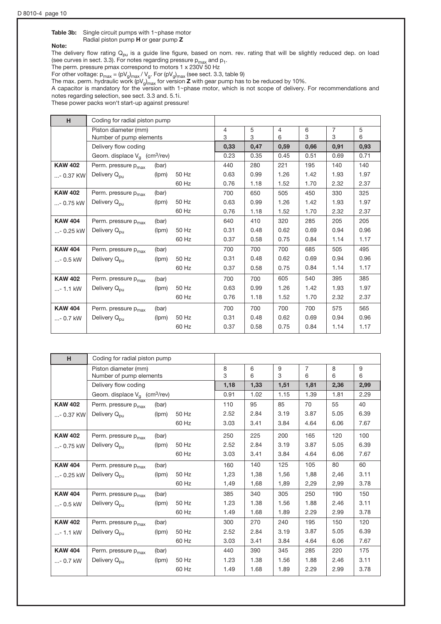### Table 3b: Single circuit pumps with  $1$ ~phase motor

Radial piston pump H or gear pump Z

# Note:

The delivery flow rating  $Q_{\text{pu}}$  is a guide line figure, based on nom. rev. rating that will be slightly reduced dep. on load (see curves in sect. 3.3). For notes regarding pressure p<sub>max</sub> and p<sub>1</sub>.<br>The perm. pressure pmax correspond to motors 1 x 230V 50 Hz

For other voltage:  $p_{max} = (pV_g)_{max} / V_g$ . For  $(pV_g)_{max}$  (see sect. 3.3, table 9)

The max. perm. hydraulic work (pV $_{\rm gJmax}$  for version **Z** with gear pump has to be reduced by 10%.

A capacitor is mandatory for the version with 1~phase motor, which is not scope of delivery. For recommendations and notes regarding selection, see sect. 3.3 and. 5.1i.

These power packs won't start-up against pressure!

| H              |                                             | Coding for radial piston pump |       |                |      |      |      |                |      |
|----------------|---------------------------------------------|-------------------------------|-------|----------------|------|------|------|----------------|------|
|                | Piston diameter (mm)                        |                               |       | $\overline{4}$ | 5    | 4    | 6    | $\overline{7}$ | 5    |
|                | Number of pump elements                     |                               |       | 3              | 3    | 6    | 3    | 3              | 6    |
|                | Delivery flow coding                        |                               |       | 0,33           | 0,47 | 0,59 | 0,66 | 0,91           | 0,93 |
|                | Geom. displace $V_a$ (cm <sup>3</sup> /rev) |                               |       | 0.23           | 0.35 | 0.45 | 0.51 | 0.69           | 0.71 |
| <b>KAW 402</b> | Perm. pressure p <sub>max</sub>             | (bar)                         |       | 440            | 280  | 221  | 195  | 140            | 140  |
| $ - 0.37$ KW   | Delivery Q <sub>pu</sub>                    | (lpm)                         | 50 Hz | 0.63           | 0.99 | 1.26 | 1.42 | 1.93           | 1.97 |
|                |                                             |                               | 60 Hz | 0.76           | 1.18 | 1.52 | 1.70 | 2.32           | 2.37 |
| <b>KAW 402</b> | Perm. pressure p <sub>max</sub>             | (bar)                         |       | 700            | 650  | 505  | 450  | 330            | 325  |
| $ - 0.75$ kW   | Delivery Q <sub>pu</sub>                    | (lpm)                         | 50 Hz | 0.63           | 0.99 | 1.26 | 1.42 | 1.93           | 1.97 |
|                |                                             |                               | 60 Hz | 0.76           | 1.18 | 1.52 | 1.70 | 2.32           | 2.37 |
| <b>KAW 404</b> | Perm. pressure p <sub>max</sub>             | (bar)                         |       | 640            | 410  | 320  | 285  | 205            | 205  |
| $ - 0.25$ kW   | Delivery Q <sub>pu</sub>                    | (lpm)                         | 50 Hz | 0.31           | 0.48 | 0.62 | 0.69 | 0.94           | 0.96 |
|                |                                             |                               | 60 Hz | 0.37           | 0.58 | 0.75 | 0.84 | 1.14           | 1.17 |
| <b>KAW 404</b> | Perm. pressure p <sub>max</sub>             | (bar)                         |       | 700            | 700  | 700  | 685  | 505            | 495  |
| $ - 0.5$ kW    | Delivery Q <sub>pu</sub>                    | (lpm)                         | 50 Hz | 0.31           | 0.48 | 0.62 | 0.69 | 0.94           | 0.96 |
|                |                                             |                               | 60 Hz | 0.37           | 0.58 | 0.75 | 0.84 | 1.14           | 1.17 |
| <b>KAW 402</b> | Perm. pressure p <sub>max</sub>             | (bar)                         |       | 700            | 700  | 605  | 540  | 395            | 385  |
| $ - 1.1$ kW    | Delivery Q <sub>pu</sub>                    | (lpm)                         | 50 Hz | 0.63           | 0.99 | 1.26 | 1.42 | 1.93           | 1.97 |
|                |                                             |                               | 60 Hz | 0.76           | 1.18 | 1.52 | 1.70 | 2.32           | 2.37 |
| <b>KAW 404</b> | Perm. pressure $p_{max}$                    | (bar)                         |       | 700            | 700  | 700  | 700  | 575            | 565  |
| $ - 0.7$ kW    | Delivery Q <sub>pu</sub>                    | (lpm)                         | 50 Hz | 0.31           | 0.48 | 0.62 | 0.69 | 0.94           | 0.96 |
|                |                                             |                               | 60 Hz | 0.37           | 0.58 | 0.75 | 0.84 | 1.14           | 1.17 |

| H              |                                                 | Coding for radial piston pump |       |        |        |        |                     |        |        |
|----------------|-------------------------------------------------|-------------------------------|-------|--------|--------|--------|---------------------|--------|--------|
|                | Piston diameter (mm)<br>Number of pump elements |                               |       | 8<br>3 | 6<br>6 | 9<br>3 | $\overline{7}$<br>6 | 8<br>6 | 9<br>6 |
|                | Delivery flow coding                            |                               |       | 1,18   | 1,33   | 1,51   | 1,81                | 2,36   | 2,99   |
|                | Geom. displace $V_a$ (cm <sup>3</sup> /rev)     |                               |       | 0.91   | 1.02   | 1.15   | 1.39                | 1.81   | 2.29   |
| <b>KAW 402</b> | Perm. pressure p <sub>max</sub>                 | (bar)                         |       | 110    | 95     | 85     | 70                  | 55     | 40     |
| $ - 0.37$ KW   | Delivery Q <sub>pu</sub>                        | (lpm)                         | 50 Hz | 2.52   | 2.84   | 3.19   | 3.87                | 5.05   | 6.39   |
|                |                                                 |                               | 60 Hz | 3.03   | 3.41   | 3.84   | 4.64                | 6.06   | 7.67   |
| <b>KAW 402</b> | Perm. pressure p <sub>max</sub>                 | (bar)                         |       | 250    | 225    | 200    | 165                 | 120    | 100    |
| $ - 0.75$ kW   | Delivery Q <sub>pu</sub>                        | (lpm)                         | 50 Hz | 2.52   | 2.84   | 3.19   | 3.87                | 5.05   | 6.39   |
|                |                                                 |                               | 60 Hz | 3.03   | 3.41   | 3.84   | 4.64                | 6.06   | 7.67   |
| <b>KAW 404</b> | Perm. pressure p <sub>max</sub>                 | (bar)                         |       | 160    | 140    | 125    | 105                 | 80     | 60     |
| $ - 0.25$ kW   | Delivery Q <sub>pu</sub>                        | (lpm)                         | 50 Hz | 1,23   | 1,38   | 1,56   | 1,88                | 2,46   | 3.11   |
|                |                                                 |                               | 60 Hz | 1,49   | 1,68   | 1,89   | 2,29                | 2,99   | 3.78   |
| <b>KAW 404</b> | Perm. pressure p <sub>max</sub>                 | (bar)                         |       | 385    | 340    | 305    | 250                 | 190    | 150    |
| $ - 0.5$ kW    | Delivery $Q_{\text{out}}$                       | (lpm)                         | 50 Hz | 1.23   | 1.38   | 1.56   | 1.88                | 2.46   | 3.11   |
|                |                                                 |                               | 60 Hz | 1.49   | 1.68   | 1.89   | 2.29                | 2.99   | 3.78   |
| <b>KAW 402</b> | Perm. pressure p <sub>max</sub>                 | (bar)                         |       | 300    | 270    | 240    | 195                 | 150    | 120    |
| $ - 1.1$ kW    | Delivery Q <sub>pu</sub>                        | (lpm)                         | 50 Hz | 2.52   | 2.84   | 3.19   | 3.87                | 5.05   | 6.39   |
|                |                                                 |                               | 60 Hz | 3.03   | 3.41   | 3.84   | 4.64                | 6.06   | 7.67   |
| <b>KAW 404</b> | Perm. pressure p <sub>max</sub>                 | (bar)                         |       | 440    | 390    | 345    | 285                 | 220    | 175    |
| $ - 0.7$ kW    | Delivery Q <sub>pu</sub>                        | (lpm)                         | 50 Hz | 1.23   | 1.38   | 1.56   | 1.88                | 2.46   | 3.11   |
|                |                                                 |                               | 60 Hz | 1.49   | 1.68   | 1.89   | 2.29                | 2.99   | 3.78   |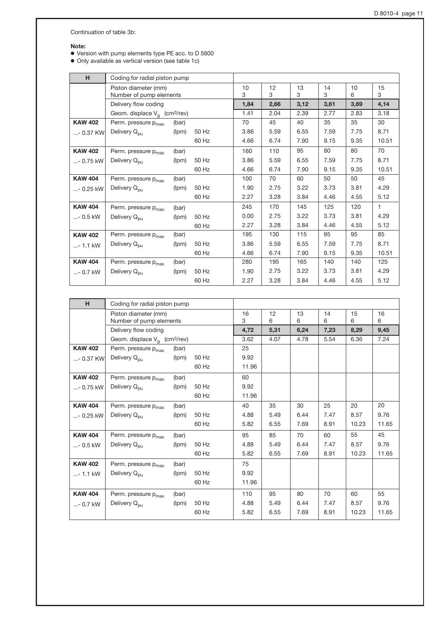Continuation of table 3b:

#### Note:

o Version with pump elements type PE acc. to D 5600

• Only available as vertical version (see table 1c)

| H.             |                                                 | Coding for radial piston pump |       |         |         |         |         |         |              |
|----------------|-------------------------------------------------|-------------------------------|-------|---------|---------|---------|---------|---------|--------------|
|                | Piston diameter (mm)<br>Number of pump elements |                               |       | 10<br>3 | 12<br>3 | 13<br>3 | 14<br>3 | 10<br>6 | 15<br>3      |
|                | Delivery flow coding                            |                               |       | 1,84    | 2,66    | 3,12    | 3,61    | 3,69    | 4,14         |
|                | Geom. displace $V_q$ (cm <sup>3</sup> /rev)     |                               |       | 1.41    | 2.04    | 2.39    | 2.77    | 2.83    | 3.18         |
| <b>KAW 402</b> | Perm. pressure p <sub>max</sub>                 | (bar)                         |       | 70      | 45      | 40      | 35      | 35      | 30           |
| - 0.37 KW      | Delivery Q <sub>pu</sub>                        | (lpm)                         | 50 Hz | 3.86    | 5.59    | 6.55    | 7.59    | 7.75    | 8.71         |
|                |                                                 |                               | 60 Hz | 4.66    | 6.74    | 7.90    | 9.15    | 9.35    | 10.51        |
| <b>KAW 402</b> | Perm. pressure p <sub>max</sub>                 | (bar)                         |       | 160     | 110     | 95      | 80      | 80      | 70           |
| - 0.75 kW      | Delivery Q <sub>pu</sub>                        | (lpm)                         | 50 Hz | 3.86    | 5.59    | 6.55    | 7.59    | 7.75    | 8.71         |
|                |                                                 |                               | 60 Hz | 4.66    | 6.74    | 7.90    | 9.15    | 9.35    | 10.51        |
| <b>KAW 404</b> | Perm. pressure p <sub>max</sub>                 | (bar)                         |       | 100     | 70      | 60      | 50      | 50      | 45           |
| $ - 0.25$ kW   | Delivery Q <sub>pu</sub>                        | (lpm)                         | 50 Hz | 1.90    | 2.75    | 3.22    | 3.73    | 3.81    | 4.29         |
|                |                                                 |                               | 60 Hz | 2.27    | 3.28    | 3.84    | 4.46    | 4.55    | 5.12         |
| <b>KAW 404</b> | Perm. pressure p <sub>max</sub>                 | (bar)                         |       | 245     | 170     | 145     | 125     | 120     | $\mathbf{1}$ |
| $ - 0.5$ kW    | Delivery Q <sub>pu</sub>                        | (lpm)                         | 50 Hz | 0.00    | 2.75    | 3.22    | 3.73    | 3.81    | 4.29         |
|                |                                                 |                               | 60 Hz | 2.27    | 3.28    | 3.84    | 4.46    | 4.55    | 5.12         |
| <b>KAW 402</b> | Perm. pressure p <sub>max</sub>                 | (bar)                         |       | 195     | 130     | 115     | 95      | 95      | 85           |
| $ - 1.1$ kW    | Delivery Q <sub>pu</sub>                        | (lpm)                         | 50 Hz | 3.86    | 5.59    | 6.55    | 7.59    | 7.75    | 8.71         |
|                |                                                 |                               | 60 Hz | 4.66    | 6.74    | 7.90    | 9.15    | 9.35    | 10.51        |
| <b>KAW 404</b> | Perm. pressure p <sub>max</sub>                 | (bar)                         |       | 280     | 195     | 165     | 140     | 140     | 125          |
| $ - 0.7$ kW    | Delivery Q <sub>pu</sub>                        | (lpm)                         | 50 Hz | 1.90    | 2.75    | 3.22    | 3.73    | 3.81    | 4.29         |
|                |                                                 |                               | 60 Hz | 2.27    | 3.28    | 3.84    | 4.46    | 4.55    | 5.12         |

| H              | Coding for radial piston pump               |       |       |       |      |      |      |       |       |
|----------------|---------------------------------------------|-------|-------|-------|------|------|------|-------|-------|
|                | Piston diameter (mm)                        |       |       | 16    | 12   | 13   | 14   | 15    | 16    |
|                | Number of pump elements                     |       |       | 3     | 6    | 6    | 6    | 6     | 6     |
|                | Delivery flow coding                        |       |       | 4,72  | 5,31 | 6,24 | 7,23 | 8,29  | 9,45  |
|                | Geom. displace $V_a$ (cm <sup>3</sup> /rev) |       |       | 3.62  | 4.07 | 4.78 | 5.54 | 6.36  | 7.24  |
| <b>KAW 402</b> | Perm. pressure p <sub>max</sub>             | (bar) |       | 25    |      |      |      |       |       |
| $ - 0.37$ KW   | Delivery Q <sub>pu</sub>                    | (lpm) | 50 Hz | 9.92  |      |      |      |       |       |
|                |                                             |       | 60 Hz | 11.96 |      |      |      |       |       |
| <b>KAW 402</b> | Perm. pressure p <sub>max</sub>             | (bar) |       | 60    |      |      |      |       |       |
| $ - 0.75$ kW   | Delivery Q <sub>pu</sub>                    | (lpm) | 50 Hz | 9.92  |      |      |      |       |       |
|                |                                             |       | 60 Hz | 11.96 |      |      |      |       |       |
| <b>KAW 404</b> | Perm. pressure p <sub>max</sub>             | (bar) |       | 40    | 35   | 30   | 25   | 20    | 20    |
| $ - 0.25$ kW   | Delivery Q <sub>pu</sub>                    | (lpm) | 50 Hz | 4.88  | 5.49 | 6.44 | 7.47 | 8.57  | 9.76  |
|                |                                             |       | 60 Hz | 5.82  | 6.55 | 7.69 | 8.91 | 10.23 | 11.65 |
| <b>KAW 404</b> | Perm. pressure p <sub>max</sub>             | (bar) |       | 95    | 85   | 70   | 60   | 55    | 45    |
| $ - 0.5$ kW    | Delivery Q <sub>pu</sub>                    | (lpm) | 50 Hz | 4.88  | 5.49 | 6.44 | 7.47 | 8.57  | 9.76  |
|                |                                             |       | 60 Hz | 5.82  | 6.55 | 7.69 | 8.91 | 10.23 | 11.65 |
| <b>KAW 402</b> | Perm. pressure p <sub>max</sub>             | (bar) |       | 75    |      |      |      |       |       |
| $ - 1.1$ kW    | Delivery Q <sub>pu</sub>                    | (lpm) | 50 Hz | 9.92  |      |      |      |       |       |
|                |                                             |       | 60 Hz | 11.96 |      |      |      |       |       |
| <b>KAW 404</b> | Perm. pressure p <sub>max</sub>             | (bar) |       | 110   | 95   | 80   | 70   | 60    | 55    |
| $ - 0.7$ kW    | Delivery Q <sub>pu</sub>                    | (lpm) | 50 Hz | 4.88  | 5.49 | 6.44 | 7.47 | 8.57  | 9.76  |
|                |                                             |       | 60 Hz | 5.82  | 6.55 | 7.69 | 8.91 | 10.23 | 11.65 |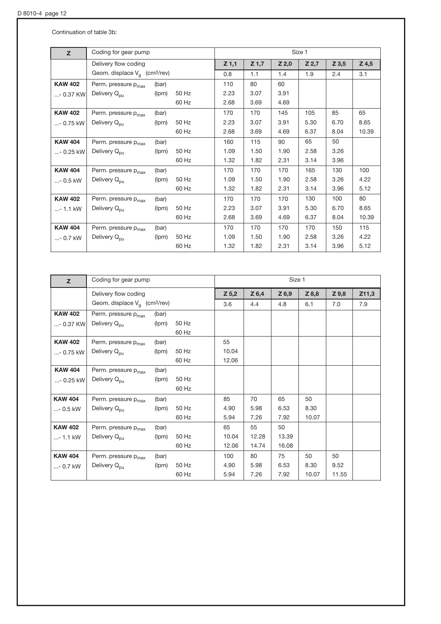Continuation of table 3b:

| z              | Coding for gear pump                        |       |       |         |         |       | Size 1 |         |       |
|----------------|---------------------------------------------|-------|-------|---------|---------|-------|--------|---------|-------|
|                | Delivery flow coding                        |       |       | $Z$ 1,1 | $Z$ 1,7 | Z 2,0 | Z 2,7  | $Z$ 3,5 | Z 4,5 |
|                | Geom. displace $V_a$ (cm <sup>3</sup> /rev) |       |       | 0.8     | 1.1     | 1.4   | 1.9    | 2.4     | 3.1   |
| <b>KAW 402</b> | Perm. pressure p <sub>max</sub>             | (bar) |       | 110     | 80      | 60    |        |         |       |
| $ - 0.37$ KW   | Delivery Q <sub>pu</sub>                    | (lpm) | 50 Hz | 2.23    | 3.07    | 3.91  |        |         |       |
|                |                                             |       | 60 Hz | 2.68    | 3.69    | 4.69  |        |         |       |
| <b>KAW 402</b> | Perm. pressure p <sub>max</sub>             | (bar) |       | 170     | 170     | 145   | 105    | 85      | 65    |
| $ - 0.75$ kW   | Delivery Q <sub>pu</sub>                    | (lpm) | 50 Hz | 2.23    | 3.07    | 3.91  | 5.30   | 6.70    | 8.65  |
|                |                                             |       | 60 Hz | 2.68    | 3.69    | 4.69  | 6.37   | 8.04    | 10.39 |
| <b>KAW 404</b> | Perm. pressure p <sub>max</sub>             | (bar) |       | 160     | 115     | 90    | 65     | 50      |       |
| $ - 0.25$ kW   | Delivery Q <sub>pu</sub>                    | (lpm) | 50 Hz | 1.09    | 1.50    | 1.90  | 2.58   | 3.26    |       |
|                |                                             |       | 60 Hz | 1.32    | 1.82    | 2.31  | 3.14   | 3.96    |       |
| <b>KAW 404</b> | Perm. pressure p <sub>max</sub>             | (bar) |       | 170     | 170     | 170   | 165    | 130     | 100   |
| $ - 0.5$ kW    | Delivery Q <sub>pu</sub>                    | (lpm) | 50 Hz | 1.09    | 1.50    | 1.90  | 2.58   | 3.26    | 4.22  |
|                |                                             |       | 60 Hz | 1.32    | 1.82    | 2.31  | 3.14   | 3.96    | 5.12  |
| <b>KAW 402</b> | Perm. pressure p <sub>max</sub>             | (bar) |       | 170     | 170     | 170   | 130    | 100     | 80    |
| $ - 1.1$ kW    | Delivery Q <sub>pu</sub>                    | (lpm) | 50 Hz | 2.23    | 3.07    | 3.91  | 5.30   | 6.70    | 8.65  |
|                |                                             |       | 60 Hz | 2.68    | 3.69    | 4.69  | 6.37   | 8.04    | 10.39 |
| <b>KAW 404</b> | Perm. pressure p <sub>max</sub>             | (bar) |       | 170     | 170     | 170   | 170    | 150     | 115   |
| $ - 0.7$ kW    | Delivery Q <sub>pu</sub>                    | (lpm) | 50 Hz | 1.09    | 1.50    | 1.90  | 2.58   | 3.26    | 4.22  |
|                |                                             |       | 60 Hz | 1.32    | 1.82    | 2.31  | 3.14   | 3.96    | 5.12  |

| z              | Coding for gear pump                        |       |       | Size 1  |         |         |       |       |       |  |
|----------------|---------------------------------------------|-------|-------|---------|---------|---------|-------|-------|-------|--|
|                | Delivery flow coding                        |       |       | $Z$ 5,2 | $Z$ 6,4 | $Z$ 6,9 | Z 8,8 | Z 9,8 | Z11,3 |  |
|                | Geom. displace $V_q$ (cm <sup>3</sup> /rev) |       |       | 3.6     | 4.4     | 4.8     | 6.1   | 7.0   | 7.9   |  |
| <b>KAW 402</b> | Perm. pressure p <sub>max</sub>             | (bar) |       |         |         |         |       |       |       |  |
| $ - 0.37$ KW   | Delivery Q <sub>pu</sub>                    | (lpm) | 50 Hz |         |         |         |       |       |       |  |
|                |                                             |       | 60 Hz |         |         |         |       |       |       |  |
| <b>KAW 402</b> | Perm. pressure p <sub>max</sub>             | (bar) |       | 55      |         |         |       |       |       |  |
| $ - 0.75$ kW   | Delivery Q <sub>pu</sub>                    | (lpm) | 50 Hz | 10.04   |         |         |       |       |       |  |
|                |                                             |       | 60 Hz | 12.06   |         |         |       |       |       |  |
| <b>KAW 404</b> | Perm. pressure p <sub>max</sub>             | (bar) |       |         |         |         |       |       |       |  |
| $ - 0.25$ kW   | Delivery Q <sub>pu</sub>                    | (lpm) | 50 Hz |         |         |         |       |       |       |  |
|                |                                             |       | 60 Hz |         |         |         |       |       |       |  |
| <b>KAW 404</b> | Perm. pressure p <sub>max</sub>             | (bar) |       | 85      | 70      | 65      | 50    |       |       |  |
| $ - 0.5$ kW    | Delivery Q <sub>pu</sub>                    | (lpm) | 50 Hz | 4.90    | 5.98    | 6.53    | 8.30  |       |       |  |
|                |                                             |       | 60 Hz | 5.94    | 7.26    | 7.92    | 10.07 |       |       |  |
| <b>KAW 402</b> | Perm. pressure p <sub>max</sub>             | (bar) |       | 65      | 55      | 50      |       |       |       |  |
| $ - 1.1$ kW    | Delivery Q <sub>pu</sub>                    | (lpm) | 50 Hz | 10.04   | 12.28   | 13.39   |       |       |       |  |
|                |                                             |       | 60 Hz | 12.06   | 14.74   | 16.08   |       |       |       |  |
| <b>KAW 404</b> | Perm. pressure p <sub>max</sub>             | (bar) |       | 100     | 80      | 75      | 50    | 50    |       |  |
| $ - 0.7$ kW    | Delivery Q <sub>pu</sub>                    | (lpm) | 50 Hz | 4.90    | 5.98    | 6.53    | 8.30  | 9.52  |       |  |
|                |                                             |       | 60 Hz | 5.94    | 7.26    | 7.92    | 10.07 | 11.55 |       |  |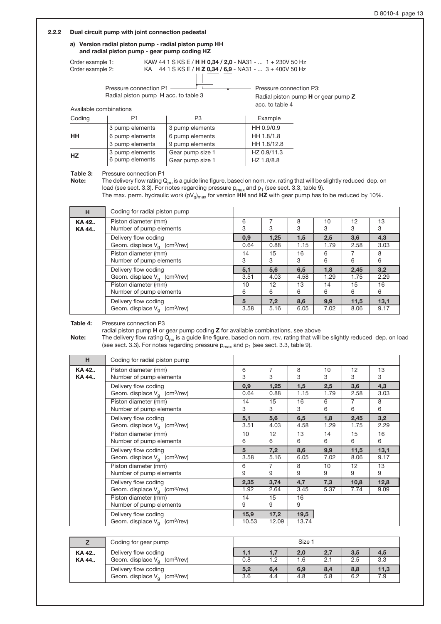#### 2.2.2 Dual circuit pump with joint connection pedestal

#### a) Version radial piston pump - radial piston pump HH and radial piston pump - gear pump coding HZ

Pressure connection P1 Order example 1: KAW 44 1 S KS E / **H H 0,34 / 2,0** - NA31 - ... 1 + 230V 50 Hz Order example 2: KA 44 1 S KS E / **H Z 0,34 / 6,9** - NA31 - ... 3 + 400V 50 Hz

Radial piston pump H acc. to table 3

- Pressure connection P3: Radial piston pump H or gear pump Z acc. to table 4

| Available combinations |
|------------------------|
|                        |

| Coding    | P1              | P3               | Example     |
|-----------|-----------------|------------------|-------------|
|           | 3 pump elements | 3 pump elements  | HH 0.9/0.9  |
| HН        | 6 pump elements | 6 pump elements  | HH 1.8/1.8  |
|           | 3 pump elements | 9 pump elements  | HH 1.8/12.8 |
| <b>HZ</b> | 3 pump elements | Gear pump size 1 | HZ 0.9/11.3 |
|           | 6 pump elements | Gear pump size 1 | HZ 1.8/8.8  |

Table 3: Pressure connection P1

Note: The delivery flow rating  $Q_{pu}$  is a guide line figure, based on nom. rev. rating that will be slightly reduced dep. on load (see sect. 3.3). For notes regarding pressure  $p_{max}$  and  $p_1$  (see sect. 3.3, table 9).

The max. perm. hydraulic work (pV<sub>g)max</sub> for version HH and HZ with gear pump has to be reduced by 10%.

| н              | Coding for radial piston pump                   |        |      |        |         |         |         |
|----------------|-------------------------------------------------|--------|------|--------|---------|---------|---------|
| KA 42<br>KA 44 | Piston diameter (mm)<br>Number of pump elements | 6<br>3 | 3    | 8<br>3 | 10<br>3 | 12<br>З | 13<br>3 |
|                | Delivery flow coding                            | 0,9    | 1,25 | 1,5    | 2,5     | 3,6     | 4,3     |
|                | Geom. displace $V_q$ (cm <sup>3</sup> /rev)     | 0.64   | 0.88 | 1.15   | 1.79    | 2.58    | 3.03    |
|                | Piston diameter (mm)                            | 14     | 15   | 16     | 6       |         | 8       |
|                | Number of pump elements                         | 3      | 3    | 3      | 6       | 6       | 6       |
|                | Delivery flow coding                            | 5,1    | 5,6  | 6.5    | 1,8     | 2,45    | 3,2     |
|                | Geom. displace $V_q$ (cm <sup>3</sup> /rev)     | 3.51   | 4.03 | 4.58   | 1.29    | 1.75    | 2.29    |
|                | Piston diameter (mm)                            | 10     | 12   | 13     | 14      | 15      | 16      |
|                | Number of pump elements                         | 6      | 6    | 6      | 6       | 6       | 6       |
|                | Delivery flow coding                            | 5      | 7,2  | 8,6    | 9,9     | 11,5    | 13,1    |
|                | Geom. displace $V_a$ (cm <sup>3</sup> /rev)     | 3.58   | 5.16 | 6.05   | 7.02    | 8.06    | 9.17    |

Table 4: Pressure connection P3

radial piston pump H or gear pump coding Z for available combinations, see above

Note: The delivery flow rating  $\dot{Q}_{\text{pu}}$  is a guide line figure, based on nom. rev. rating that will be slightly reduced dep. on load (see sect. 3.3). For notes regarding pressure  $p_{max}$  and  $p_1$  (see sect. 3.3, table 9).

| н              | Coding for radial piston pump                                       |             |              |             |             |             |             |
|----------------|---------------------------------------------------------------------|-------------|--------------|-------------|-------------|-------------|-------------|
| KA 42<br>KA 44 | Piston diameter (mm)<br>Number of pump elements                     | 6<br>3      | 7<br>3       | 8<br>3      | 10<br>3     | 12<br>3     | 13<br>3     |
|                | Delivery flow coding<br>Geom. displace $V_q$ (cm <sup>3</sup> /rev) | 0,9<br>0.64 | 1,25<br>0.88 | 1,5<br>1.15 | 2,5<br>1.79 | 3,6<br>2.58 | 4,3<br>3.03 |
|                | Piston diameter (mm)<br>Number of pump elements                     | 14<br>3     | 15<br>3      | 16<br>3     | 6<br>6      | 7<br>6      | 8<br>6      |
|                | Delivery flow coding                                                | 5,1         | 5,6          | 6,5         | 1,8         | 2,45        | 3,2         |
|                | Geom. displace $V_q$ (cm <sup>3</sup> /rev)                         | 3.51        | 4.03         | 4.58        | 1.29        | 1.75        | 2.29        |
|                | Piston diameter (mm)                                                | 10          | 12           | 13          | 14          | 15          | 16          |
|                | Number of pump elements                                             | 6           | 6            | 6           | 6           | 6           | 6           |
|                | Delivery flow coding                                                | 5           | 7,2          | 8,6         | 9,9         | 11,5        | 13,1        |
|                | Geom. displace $V_a$ (cm <sup>3</sup> /rev)                         | 3.58        | 5.16         | 6.05        | 7.02        | 8.06        | 9.17        |
|                | Piston diameter (mm)                                                | 6           | 7            | 8           | 10          | 12          | 13          |
|                | Number of pump elements                                             | 9           | 9            | 9           | 9           | 9           | 9           |
|                | Delivery flow coding                                                | 2,35        | 3,74         | 4,7         | 7,3         | 10,8        | 12,8        |
|                | Geom. displace $V_a$ (cm <sup>3</sup> /rev)                         | 1.92        | 2.64         | 3.45        | 5.37        | 7.74        | 9.09        |
|                | Piston diameter (mm)<br>Number of pump elements                     | 14<br>9     | 15<br>9      | 16<br>9     |             |             |             |
|                | Delivery flow coding                                                | 15,9        | 17,2         | 19,5        |             |             |             |
|                | Geom. displace $V_a$ (cm <sup>3</sup> /rev)                         | 10.53       | 12.09        | 13.74       |             |             |             |

|       | Coding for gear pump                        |     | Size 1 |     |     |     |      |
|-------|---------------------------------------------|-----|--------|-----|-----|-----|------|
| KA 42 | Delivery flow coding                        | 1,1 | 1,7    | 2,0 | 2,7 | 3,5 | 4,5  |
| KA 44 | Geom. displace $V_a$ (cm <sup>3</sup> /rev) | 0.8 | 1.2    | 1.6 | 2.7 | 2.5 | 3.3  |
|       | Delivery flow coding                        | 5,2 | 6,4    | 6,9 | 8,4 | 8,8 | 11,3 |
|       | Geom. displace $V_a$ (cm <sup>3</sup> /rev) | 3.6 | 4.4    | 4.8 | 5.8 | 6.2 |      |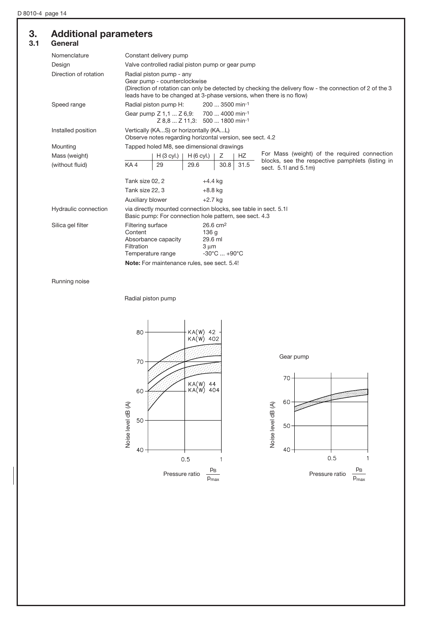# 3. Additional parameters

| --  | <u>.</u> |  |
|-----|----------|--|
| 3.1 | General  |  |

| Nomenclature          | Constant delivery pump                                                                                                                                                                                                                       |
|-----------------------|----------------------------------------------------------------------------------------------------------------------------------------------------------------------------------------------------------------------------------------------|
| Design                | Valve controlled radial piston pump or gear pump                                                                                                                                                                                             |
| Direction of rotation | Radial piston pump - any<br>Gear pump - counterclockwise<br>(Direction of rotation can only be detected by checking the delivery flow - the connection of 2 of the 3<br>leads have to be changed at 3-phase versions, when there is no flow) |
| Speed range           | Radial piston pump H:<br>200  3500 min-1                                                                                                                                                                                                     |
|                       | Gear pump Z 1,1  Z 6,9: 700  4000 min-1<br>Z 8.8  Z 11.3: 500  1800 min-1                                                                                                                                                                    |
| Installed position    | Vertically (KAS) or horizontally (KAL)<br>Observe notes regarding horizontal version, see sect. 4.2                                                                                                                                          |
| Mounting              | Tapped holed M8, see dimensional drawings                                                                                                                                                                                                    |
| Mass (weight)         | For Mass (weight) of the required connection<br>H (6 cyl.)<br>Ζ<br>HZ.<br>$H (3$ cyl.)                                                                                                                                                       |
| (without fluid)       | blocks, see the respective pamphlets (listing in<br>KA4<br>29.6<br>30.8<br>29<br>31.5<br>sect. 5.1 and 5.1m)                                                                                                                                 |
|                       | Tank size 02, 2<br>$+4.4$ kg                                                                                                                                                                                                                 |
|                       | Tank size 22, 3<br>$+8.8$ kg                                                                                                                                                                                                                 |
|                       | Auxiliary blower<br>$+2.7$ kg                                                                                                                                                                                                                |
| Hydraulic connection  | via directly mounted connection blocks, see table in sect. 5.1<br>Basic pump: For connection hole pattern, see sect. 4.3                                                                                                                     |
| Silica gel filter     | $26.6 \text{ cm}^2$<br>Filtering surface<br>Content<br>136 g<br>Absorbance capacity<br>29.6 ml<br>Filtration<br>$3 \mu m$<br>$-30^{\circ}$ C $+90^{\circ}$ C<br>Temperature range<br>Note: For maintenance rules, see sect. 5.4!             |
|                       |                                                                                                                                                                                                                                              |

Running noise

Radial piston pump



Gear pump

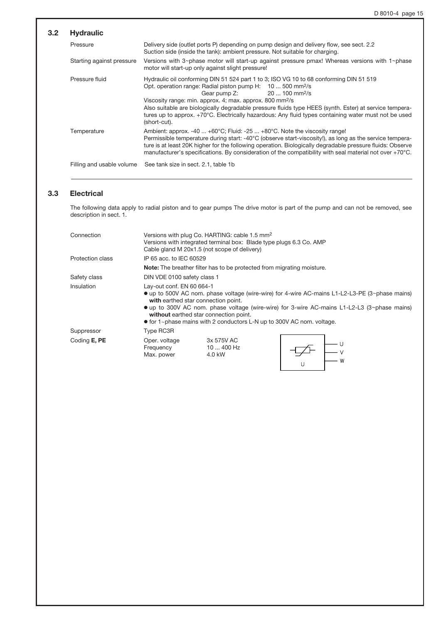| 3.2 | <b>Hydraulic</b>          |                                                                                                                                                                                                                                                                                                                                                                                                                                                                                                                       |
|-----|---------------------------|-----------------------------------------------------------------------------------------------------------------------------------------------------------------------------------------------------------------------------------------------------------------------------------------------------------------------------------------------------------------------------------------------------------------------------------------------------------------------------------------------------------------------|
|     | Pressure                  | Delivery side (outlet ports P) depending on pump design and delivery flow, see sect. 2.2<br>Suction side (inside the tank): ambient pressure. Not suitable for charging.                                                                                                                                                                                                                                                                                                                                              |
|     | Starting against pressure | Versions with $3$ ~phase motor will start-up against pressure pmax! Whereas versions with $1$ ~phase<br>motor will start-up only against slight pressure!                                                                                                                                                                                                                                                                                                                                                             |
|     | Pressure fluid            | Hydraulic oil conforming DIN 51 524 part 1 to 3; ISO VG 10 to 68 conforming DIN 51 519<br>Opt. operation range: Radial piston pump H: 10  500 mm <sup>2</sup> /s<br>Gear pump Z: 20  100 mm <sup>2</sup> /s<br>Viscosity range: min. approx. 4; max. approx. 800 mm <sup>2</sup> /s<br>Also suitable are biologically degradable pressure fluids type HEES (synth. Ester) at service tempera-<br>tures up to approx. +70°C. Electrically hazardous: Any fluid types containing water must not be used<br>(short-cut). |
|     | Temperature               | Ambient: approx. -40  +60°C; Fluid: -25  +80°C. Note the viscosity range!<br>Permissible temperature during start: -40°C (observe start-viscosity!), as long as the service tempera-<br>ture is at least 20K higher for the following operation. Biologically degradable pressure fluids: Observe<br>manufacturer's specifications. By consideration of the compatibility with seal material not over +70°C.                                                                                                          |
|     |                           | Filling and usable volume See tank size in sect. 2.1, table 1b                                                                                                                                                                                                                                                                                                                                                                                                                                                        |

# 3.3 Electrical

The following data apply to radial piston and to gear pumps The drive motor is part of the pump and can not be removed, see description in sect. 1.

| Connection       |                                          | Versions with plug Co. HARTING: cable 1.5 mm <sup>2</sup><br>Versions with integrated terminal box: Blade type plugs 6.3 Co. AMP<br>Cable gland M 20x1.5 (not scope of delivery) |                                                                                                                                                                                                               |  |
|------------------|------------------------------------------|----------------------------------------------------------------------------------------------------------------------------------------------------------------------------------|---------------------------------------------------------------------------------------------------------------------------------------------------------------------------------------------------------------|--|
| Protection class | IP 65 acc. to IEC 60529                  |                                                                                                                                                                                  |                                                                                                                                                                                                               |  |
|                  |                                          | <b>Note:</b> The breather filter has to be protected from migrating moisture.                                                                                                    |                                                                                                                                                                                                               |  |
| Safety class     | DIN VDE 0100 safety class 1              |                                                                                                                                                                                  |                                                                                                                                                                                                               |  |
| Insulation       | Lay-out conf. EN 60 664-1                | with earthed star connection point.<br>without earthed star connection point.<br>• for 1~phase mains with 2 conductors L-N up to 300V AC nom. voltage.                           | $\bullet$ up to 500V AC nom. phase voltage (wire-wire) for 4-wire AC-mains L1-L2-L3-PE (3~phase mains)<br>$\bullet$ up to 300V AC nom. phase voltage (wire-wire) for 3-wire AC-mains L1-L2-L3 (3~phase mains) |  |
| Suppressor       | Type RC3R                                |                                                                                                                                                                                  |                                                                                                                                                                                                               |  |
| Coding E, PE     | Oper. voltage<br>Frequency<br>Max. power | 3x 575V AC<br>10  400 Hz<br>4.0 kW                                                                                                                                               |                                                                                                                                                                                                               |  |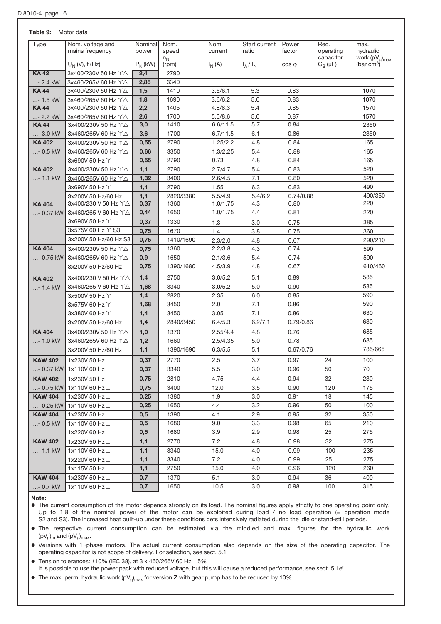### Table 9: Motor data

| Type           | Nom. voltage and               | Nominal   | Nom.           | Nom.             | Start current    | Power          | Rec.                   | max.                             |
|----------------|--------------------------------|-----------|----------------|------------------|------------------|----------------|------------------------|----------------------------------|
|                | mains frequency                | power     | speed<br>$n_N$ | current          | ratio            | factor         | operating<br>capacitor | hydraulic<br>work $(pV_q)_{max}$ |
|                | $U_N$ (V), f (Hz)              | $P_N(kW)$ | (rpm)          | $I_N(A)$         | $I_A/I_N$        | $\cos \varphi$ | $C_B(\mu F)$           | (bar $\text{cm}^3$ )             |
| <b>KA42</b>    | 3x400/230V 50 Hz Y△            | 2,4       | 2790           |                  |                  |                |                        |                                  |
| $ - 2.4$ kW    | 3x460/265V 60 Hz Y△            | 2,88      | 3340           |                  |                  |                |                        |                                  |
| <b>KA44</b>    | 3x400/230V 50 Hz Y△            | 1,5       | 1410           | 3.5/6.1          | 5.3              | 0.83           |                        | 1070                             |
| - 1.5 kW       | 3x460/265V 60 Hz Y△            | 1,8       | 1690           | 3.6/6.2          | 5.0              | 0.83           |                        | 1070                             |
| <b>KA44</b>    | 3x400/230V 50 Hz Y△            | 2,2       | 1405           | 4.8/8.3          | 5.4              | 0.85           |                        | 1570                             |
| - 2.2 kW       | 3x460/265V 60 Hz YA            | 2,6       | 1700           | 5.0/8.6          | 5.0              | 0.87           |                        | 1570                             |
| <b>KA44</b>    | 3x400/230V 50 Hz YA            | 3,0       | 1410           | 6.6/11.5         | 5.7              | 0.84           |                        | 2350                             |
| $ - 3.0$ kW    | 3x460/265V 60 Hz Y△            | 3,6       | 1700           | 6.7/11.5         | 6.1              | 0.86           |                        | 2350                             |
| <b>KA402</b>   | 3x400/230V 50 Hz Y△            | 0,55      | 2790           | 1.25/2.2         | 4,8              | 0.84           |                        | 165                              |
| - 0.5 kW       | 3x460/265V 60 Hz Y△            | 0,66      | 3350           | 1.3/2.25         | 5.4              | 0.88           |                        | 165                              |
|                | 3x690V 50 Hz Y                 | 0,55      | 2790           | 0.73             | 4.8              | 0.84           |                        | 165                              |
| <b>KA402</b>   | 3x400/230V 50 Hz Y△            | 1,1       | 2790           | 2.7/4.7          | 5.4              | 0.83           |                        | 520                              |
| - 1.1 kW       | 3x460/265V 60 Hz Y△            | 1,32      | 3400           | 2.6/4.5          | 7.1              | 0.80           |                        | 520                              |
|                | 3x690V 50 Hz Y                 | 1,1       | 2790           | 1.55             | 6.3              | 0.83           |                        | 490                              |
|                | 3x200V 50 Hz/60 Hz             | 1,1       | 2820/3380      | 5.5/4.9          | 5.4/6.2          | 0.74/0.88      |                        | 490/350                          |
| <b>KA404</b>   | 3x400/230 V 50 Hz Y△           | 0,37      | 1360           | 1.0/1.75         | 4.3              | 0.80           |                        | 220                              |
|                | - 0.37 kW 3x460/265 V 60 Hz Y△ | 0,44      | 1650           | 1.0/1.75         | 4.4              | 0.81           |                        | 220                              |
|                | 3x690V 50 Hz Y                 | 0,37      | 1330           | 1.3              | 3.0              | 0.75           |                        | 385                              |
|                | 3x575V 60 Hz Y S3              | 0,75      | 1670           | 1.4              | 3.8              | 0.75           |                        | 360                              |
|                | 3x200V 50 Hz/60 Hz S3          | 0,75      | 1410/1690      | 2.3/2.0          | 4.8              | 0.67           |                        | 290/210                          |
| <b>KA 404</b>  | 3x400/230V 50 Hz Y△            | 0,75      | 1360           | 2.2/3.8          | 4.3              | 0.74           |                        | 590                              |
|                | - 0.75 kW 3x460/265V 60 Hz Y△  | 0,9       | 1650           | 2.1/3.6          | 5.4              | 0.74           |                        | 590                              |
|                | 3x200V 50 Hz/60 Hz             | 0,75      | 1390/1680      | 4.5/3.9          | 4.8              | 0.67           |                        | 610/460                          |
| <b>KA402</b>   | 3x400/230 V 50 Hz Y△           | 1,4       | 2750           | 3.0/5.2          | 5.1              | 0.89           |                        | 585                              |
| $ - 1.4$ kW    | 3x460/265 V 60 Hz Y△           | 1,68      | 3340           | 3.0/5.2          | 5.0              | 0.90           |                        | 585                              |
|                | 3x500V 50 Hz Y                 | 1,4       | 2820           | 2.35             | 6.0              | 0.85           |                        | 590                              |
|                | 3x575V 60 Hz Y                 | 1,68      | 3450           | 2.0              | 7.1              | 0.86           |                        | 590                              |
|                | 3x380V 60 Hz Y                 | 1,4       | 3450           | 3.05             | 7.1              | 0.86           |                        | 630                              |
|                | 3x200V 50 Hz/60 Hz             | 1,4       | 2840/3450      | 6.4/5.3          | 6.2/7.1          | 0.79/0.86      |                        | 630                              |
| <b>KA404</b>   | 3x400/230V 50 Hz Y△            | 1,0       | 1370           | 2.55/4.4         | 4.8              | 0.76           |                        | 685                              |
| $ - 1.0$ kW    | 3x460/265V 60 Hz Y△            | 1,2       | 1660           | 2.5/4.35         | 5.0              | 0.78           |                        | 685                              |
|                | 3x200V 50 Hz/60 Hz             | 1,1       | 1390/1690      | 6.3/5.5          | 5.1              | 0.67/0.76      |                        | 785/665                          |
| <b>KAW 402</b> | 1x230V 50 Hz $\perp$           | 0,37      | 2770           | 2.5              | 3.7              | 0.97           | 24                     | 100                              |
|                | - 0.37 kW 1x110V 60 Hz L       | 0,37      | 3340           | $\overline{5.5}$ | $\overline{3.0}$ | 0.96           | $\overline{50}$        | $\overline{70}$                  |
| <b>KAW 402</b> | 1x230V 50 Hz $\perp$           | 0,75      | 2810           | 4.75             | 4.4              | 0.94           | 32                     | 230                              |
|                | - 0.75 kW 1x110V 60 Hz $\perp$ | 0,75      | 3400           | 12.0             | 3.5              | 0.90           | 120                    | 175                              |
| <b>KAW 404</b> | 1x230V 50 Hz L                 | 0,25      | 1380           | 1.9              | 3.0              | 0.91           | 18                     | 145                              |
|                | - 0.25 kW 1x110V 60 Hz $\perp$ | 0,25      | 1650           | 4.4              | 3.2              | 0.96           | 50                     | 100                              |
| <b>KAW 404</b> | 1x230V 50 Hz L                 | 0,5       | 1390           | 4.1              | 2.9              | 0.95           | 32                     | 350                              |
| $ - 0.5$ kW    | 1x110V 60 Hz L                 | 0,5       | 1680           | 9.0              | 3.3              | 0.98           | 65                     | 210                              |
|                | 1x220V 60 Hz L                 | 0,5       | 1680           | 3.9              | 2.9              | 0.98           | 25                     | 275                              |
| <b>KAW 402</b> | 1x230V 50 Hz ⊥                 | 1,1       | 2770           | 7.2              | 4.8              | 0.98           | 32                     | 275                              |
| $ - 1.1$ kW    | 1x110V 60 Hz L                 | 1,1       | 3340           | 15.0             | 4.0              | 0.99           | 100                    | 235                              |
|                | 1x220V 60 Hz L                 | 1,1       | 3340           | 7.2              | 4.0              | 0.99           | 25                     | 275                              |
|                | 1x115V 50 Hz L                 | 1,1       | 2750           | 15.0             | 4.0              | 0.96           | 120                    | 260                              |
| <b>KAW 404</b> | 1x230V 50 Hz ⊥                 | 0,7       | 1370           | 5.1              | 3.0              | 0.94           | 36                     | 400                              |
| $ - 0.7$ kW    | 1x110V 60 Hz L                 | 0,7       | 1650           | 10.5             | 3.0              | 0.98           | 100                    | 315                              |
|                |                                |           |                |                  |                  |                |                        |                                  |

#### Note:

o The current consumption of the motor depends strongly on its load. The nominal figures apply strictly to one operating point only. Up to 1.8 of the nominal power of the motor can be exploited during load / no load operation (= operation mode S2 and S3). The increased heat built-up under these conditions gets intensively radiated during the idle or stand-still periods.

o The respective current consumption can be estimated via the middled and max. figures for the hydraulic work  $(pV_g)_{m}$  and  $(pV_g)_{max}$ .

o Versions with 1+phase motors. The actual current consumption also depends on the size of the operating capacitor. The operating capacitor is not scope of delivery. For selection, see sect. 5.1i

 $\bullet$  Tension tolerances:  $\pm 10\%$  (IEC 38), at 3 x 460/265V 60 Hz  $\pm 5\%$ It is possible to use the power pack with reduced voltage, but this will cause a reduced performance, see sect. 5.1e!

 $\bullet$  The max. perm. hydraulic work (pV<sub>g</sub>)<sub>max</sub> for version **Z** with gear pump has to be reduced by 10%.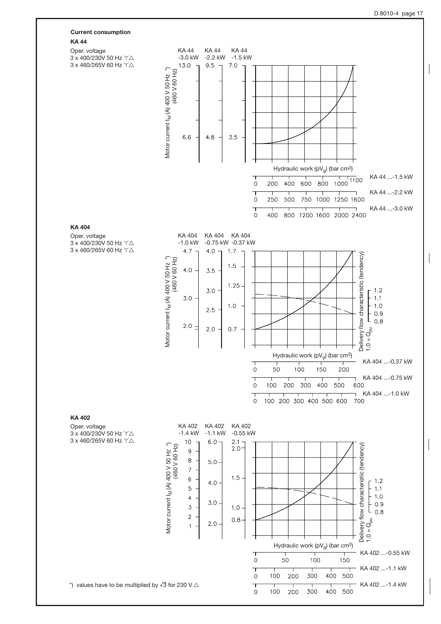

#### KA 44

KA 404

KA 402



 $50$ 

200

200

100

100

 $\mathsf{O}\xspace$ 

 $\mathsf{O}\xspace$ 

┑

 $\Omega$ 

 $100$ 

300

300

150

500

400 500

T

400

\*) values have to be multiplied by  $\sqrt{3}$  for 230 V  $\triangle$ 

KA 402 ...-1.1 kW

KA 402 ...-1.4 kW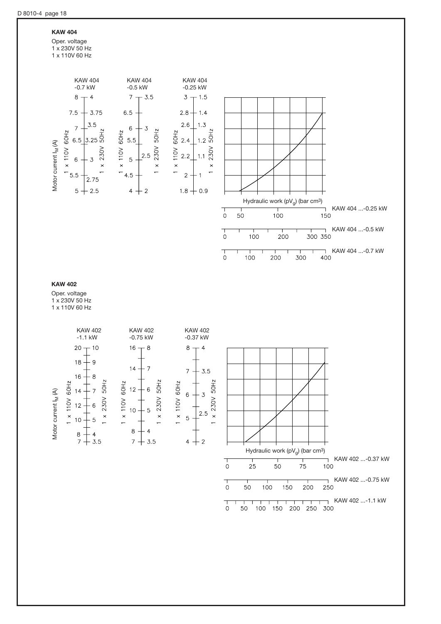### KAW 404

Oper. voltage 1 x 230V 50 Hz 1 x 110V 60 Hz

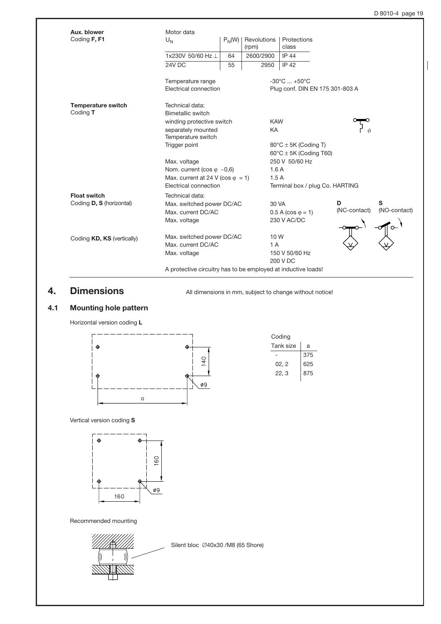| Aux. blower<br>Coding F, F1     | Motor data                                                    |                   |                      | Protections                          |              |              |  |
|---------------------------------|---------------------------------------------------------------|-------------------|----------------------|--------------------------------------|--------------|--------------|--|
|                                 | $U_N$                                                         | $P_N(W)$          | Revolutions<br>(rpm) | class                                |              |              |  |
|                                 | 1x230V 50/60 Hz                                               | 64                | 2600/2900            | <b>IP 44</b>                         |              |              |  |
|                                 | 24V DC                                                        | 55                | 2950                 | <b>IP 42</b>                         |              |              |  |
|                                 | Temperature range                                             |                   |                      | $-30^{\circ}$ C $+50^{\circ}$ C      |              |              |  |
|                                 | Electrical connection                                         |                   |                      | Plug conf. DIN EN 175 301-803 A      |              |              |  |
| <b>Temperature switch</b>       | Technical data:                                               |                   |                      |                                      |              |              |  |
| Coding T                        |                                                               | Bimetallic switch |                      |                                      |              |              |  |
|                                 | winding protective switch                                     |                   | <b>KAW</b>           |                                      |              |              |  |
|                                 | separately mounted<br>Temperature switch                      |                   | KA                   |                                      |              |              |  |
|                                 | Trigger point                                                 |                   |                      | $80^{\circ}$ C $\pm$ 5K (Coding T)   |              |              |  |
|                                 |                                                               |                   |                      | $60^{\circ}$ C $\pm$ 5K (Coding T60) |              |              |  |
|                                 | Max. voltage                                                  |                   |                      | 250 V 50/60 Hz                       |              |              |  |
|                                 | Nom. current (cos $\varphi \sim 0.6$ )                        |                   |                      | 1.6A                                 |              |              |  |
|                                 | Max. current at 24 V (cos $\varphi = 1$ )                     |                   |                      | 1.5A                                 |              |              |  |
|                                 | Electrical connection                                         |                   |                      | Terminal box / plug Co. HARTING      |              |              |  |
| <b>Float switch</b>             | Technical data:                                               |                   |                      |                                      |              |              |  |
| Coding <b>D, S</b> (horizontal) | Max. switched power DC/AC                                     |                   | 30 VA                |                                      | D            | S            |  |
|                                 | Max. current DC/AC                                            |                   |                      | $0.5 A (cos \varphi = 1)$            | (NC-contact) | (NO-contact) |  |
|                                 | Max. voltage                                                  |                   |                      | 230 V AC/DC                          |              |              |  |
| Coding KD, KS (vertically)      | Max. switched power DC/AC                                     |                   | 10W                  |                                      |              |              |  |
|                                 | Max. current DC/AC                                            |                   | 1A                   |                                      |              |              |  |
|                                 | Max. voltage                                                  |                   |                      | 150 V 50/60 Hz                       |              |              |  |
|                                 |                                                               |                   |                      | 200 V DC                             |              |              |  |
|                                 | A protective circuitry has to be employed at inductive loads! |                   |                      |                                      |              |              |  |

4. **Dimensions** All dimensions in mm, subject to change without notice!

# 4.1 Mounting hole pattern



| Coding    |     |  |  |  |  |  |
|-----------|-----|--|--|--|--|--|
| Tank size | a   |  |  |  |  |  |
|           | 375 |  |  |  |  |  |
| 02. 2     | 625 |  |  |  |  |  |
| 22, 3     | 875 |  |  |  |  |  |
|           |     |  |  |  |  |  |

Vertical version coding S



Recommended mounting



Silent bloc #40x30 /M8 (65 Shore)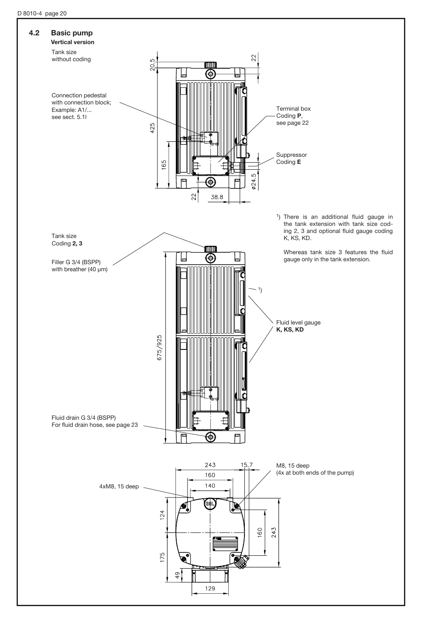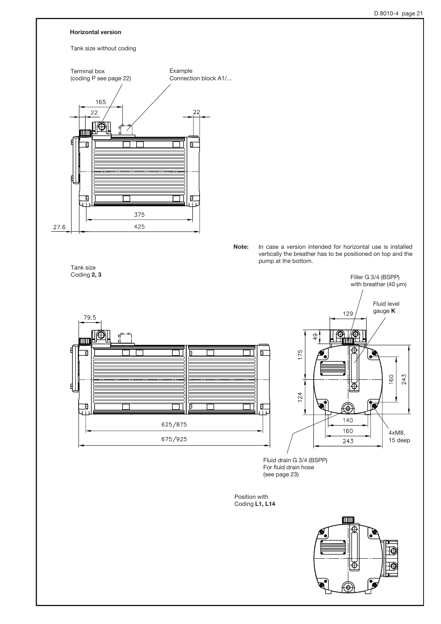

Position with Coding L1, L14

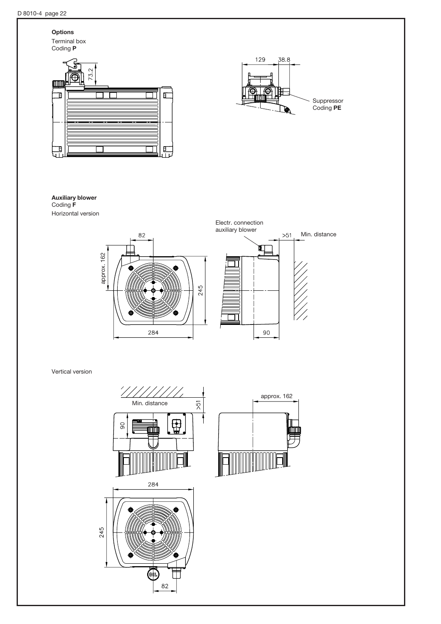# **Options**

Terminal box Coding P





### Auxiliary blower

Coding F Horizontal version





approx. 162

Vertical version

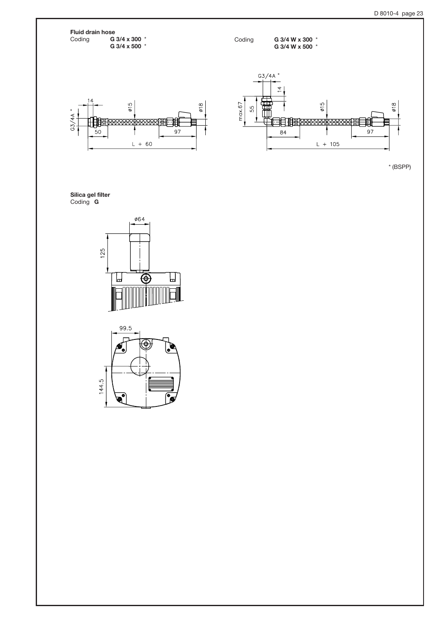**Fluid drain hose**<br>Coding **G** G 3/4 x 300  $*$ G 3/4 x 500 \*

Coding **G 3/4 W x 300** \*

G 3/4 W x 500 \*





\* (BSPP)

Silica gel filter Coding **G** 



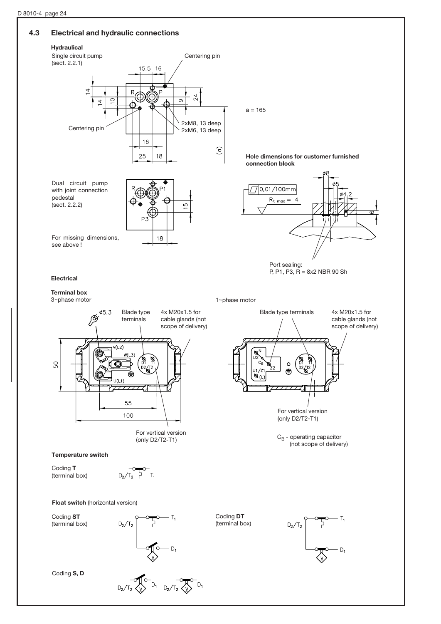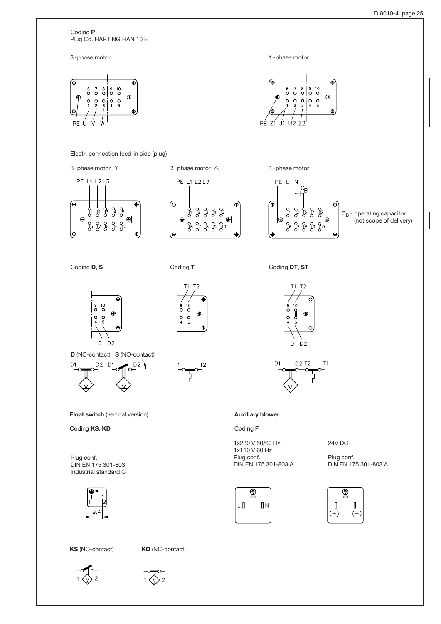Coding P Plug Co. HARTING HAN 10 E

3~phase motor



Electr. connection feed-in side (plug)



D (NC-contact) S (NO-contact)

 $.$  D2  $\backslash$ 

D1 D2

D2 D1

 $\bigoplus$ 

Float switch (vertical version)

Coding KS, KD

DIN EN 175 301-803 Industrial standard C

Plug conf.

D<sub>1</sub>





 $\ddot{\Phi}$ 

 $\ddot{\theta}$ 

 $\bigoplus$ 

Coding **D**, S Coding T Coding Coding DT, ST

 $| \frac{9}{\circ}$  $\frac{10}{\mathsf{O}}$ 

 $\frac{0}{4}$  $\frac{0}{5}$ 

 $\overset{9}{\circ}$ 



 $\ddot{\Phi}$ 

 $T<sub>2</sub>$ 



#### Auxiliary blower

Coding F

1x230 V 50/60 Hz 1x110 V 60 Hz Plug conf. DIN EN 175 301-803 A





 $T1$ 

Plug conf. DIN EN 175 301-803 A



KS (NO-contact) KD (NC-contact)





1~phase motor

 $^6_\mathsf{O}$ 

 $\circ$ 

 $U<sub>1</sub>$  $\sqrt{2}$   $\sqrt{2}$ 

PÉ

 $\frac{1}{2}$  $\frac{0}{3}$ 

 $\begin{array}{c|c} 7 & 8 & 9 & 10 \\ \hline \circ & \circ & \circ \end{array}$ 

 $\begin{array}{ccc} 0 & 0 \\ 4 & 5 \end{array}$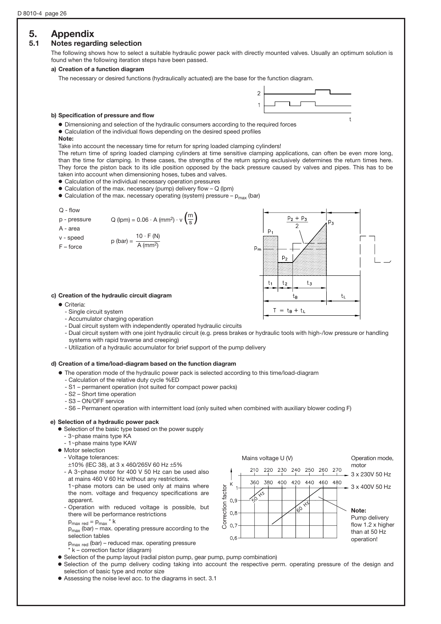# 5. Appendix

# 5.1 Notes regarding selection

The following shows how to select a suitable hydraulic power pack with directly mounted valves. Usually an optimum solution is found when the following iteration steps have been passed.

#### a) Creation of a function diagram

The necessary or desired functions (hydraulically actuated) are the base for the function diagram.



#### b) Specification of pressure and flow

o Dimensioning and selection of the hydraulic consumers according to the required forces

- $\bullet$  Calculation of the individual flows depending on the desired speed profiles
- Note:

Take into account the necessary time for return for spring loaded clamping cylinders!

 The return time of spring loaded clamping cylinders at time sensitive clamping applications, can often be even more long, than the time for clamping. In these cases, the strengths of the return spring exclusively determines the return times here. They force the piston back to its idle position opposed by the back pressure caused by valves and pipes. This has to be taken into account when dimensioning hoses, tubes and valves.

 $\bullet$  Calculation of the individual necessary operation pressures

 $\bullet$  Calculation of the max. necessary (pump) delivery flow – Q (lpm)

 $\bullet$  Calculation of the max. necessary operating (system) pressure –  $p_{max}$  (bar)

#### Q - flow

- p pressure Q (lpm) =  $0.06 \cdot A$  (mm<sup>2</sup>)  $\cdot v \left(\frac{m}{s}\right)$ s
- A area
- v speed  $p \text{ (bar)} = \frac{10 \cdot F \text{ (N)}}{4 \text{ (max)}^2}$ A (mm2)
- F force



#### c) Creation of the hydraulic circuit diagram

- o Criteria:
	- Single circuit system
	- Accumulator charging operation
	- Dual circuit system with independently operated hydraulic circuits
	- Dual circuit system with one joint hydraulic circuit (e.g. press brakes or hydraulic tools with high-/low pressure or handling systems with rapid traverse and creeping)
	- Utilization of a hydraulic accumulator for brief support of the pump delivery

#### d) Creation of a time/load-diagram based on the function diagram

- $\bullet$  The operation mode of the hydraulic power pack is selected according to this time/load-diagram
	- Calculation of the relative duty cycle %ED
	- S1 permanent operation (not suited for compact power packs)
	- S2 Short time operation
	- S3 ON/OFF service
	- S6 Permanent operation with intermittent load (only suited when combined with auxiliary blower coding F)

#### e) Selection of a hydraulic power pack

- **•** Selection of the basic type based on the power supply
- 3~phase mains type KA
- 1~phase mains type KAW
- $\bullet$  Motor selection
	- Voltage tolerances:
	- $±10\%$  (IEC 38), at 3 x 460/265V 60 Hz  $±5\%$
	- A  $3$ ~phase motor for 400 V 50 Hz can be used also at mains 460 V 60 Hz without any restrictions.

1~phase motors can be used only at mains where the nom. voltage and frequency specifications are apparent.

- Operation with reduced voltage is possible, but there will be performance restrictions
- $p_{\text{max red}} = p_{\text{max}} * k$

 $p_{max}$  (bar) – max. operating pressure according to the selection tables

pmax red (bar) – reduced max. operating pressure

- \* k correction factor (diagram)
- o Selection of the pump layout (radial piston pump, gear pump, pump combination)
- o Selection of the pump delivery coding taking into account the respective perm. operating pressure of the design and selection of basic type and motor size
	- o Assessing the noise level acc. to the diagrams in sect. 3.1

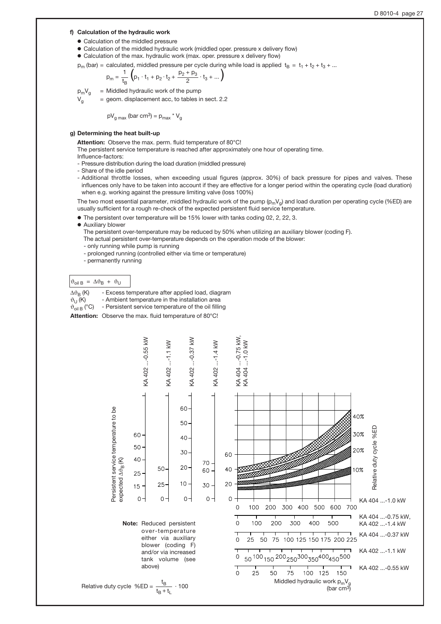#### f) Calculation of the hydraulic work

- $\bullet$  Calculation of the middled pressure
- Calculation of the middled hydraulic work (middled oper. pressure x delivery flow)
- o Calculation of the max. hydraulic work (max. oper. pressure x delivery flow)
- $p_m$  (bar) = calculated, middled pressure per cycle during while load is applied  $t_B = t_1 + t_2 + t_3 + ...$

$$
p_m = \frac{1}{t_B} \left( p_1 \cdot t_1 + p_2 \cdot t_2 + \frac{p_2 + p_3}{2} \cdot t_3 + \dots \right)
$$

 $p_m V_q$  = Middled hydraulic work of the pump

 $V<sub>q</sub>$  = geom. displacement acc, to tables in sect. 2.2

$$
pV_{\text{g max}}
$$
 (bar cm<sup>3</sup>) = p<sub>max</sub> \* V<sub>g</sub>

#### g) Determining the heat built-up

Attention: Observe the max. perm. fluid temperature of 80°C!

The persistent service temperature is reached after approximately one hour of operating time.

- Influence-factors:
- Pressure distribution during the load duration (middled pressure)
- Share of the idle period
- Additional throttle losses, when exceeding usual figures (approx. 30%) of back pressure for pipes and valves. These influences only have to be taken into account if they are effective for a longer period within the operating cycle (load duration) when e.g. working against the pressure limiting valve (loss 100%)

The two most essential parameter, middled hydraulic work of the pump  $(p_mV_q)$  and load duration per operating cycle (%ED) are usually sufficient for a rough re-check of the expected persistent fluid service temperature.

 $... -0.75$  kW,

 $...$ -1.0 kW

- o The persistent over temperature will be 15% lower with tanks coding 02, 2, 22, 3.
- o Auxiliary blower

 The persistent over-temperature may be reduced by 50% when utilizing an auxiliary blower (coding F). The actual persistent over-temperature depends on the operation mode of the blower:

- only running while pump is running
- prolonged running (controlled either via time or temperature)
- permanently running

#### $\vartheta_{\text{oil B}} = \Delta \vartheta_{\text{B}} + \vartheta_{\text{U}}$

- $\Delta\vartheta_B$  (K) Excess temperature after applied load, diagram  $\vartheta_U$  (K) Ambient temperature in the installation area  $\vartheta_{U}$  (K) - Ambient temperature in the installation area  $\vartheta_{\text{oil B}}$  (°C) - Persistent service temperature of the oil fillin
	- Persistent service temperature of the oil filling

Attention: Observe the max. fluid temperature of 80°C!



over-temperature either via auxiliary blower (coding F) and/or via increased tank volume (see above)



$$
relative duty cycle %ED = \frac{t_B}{t_B + t_L} \cdot 100
$$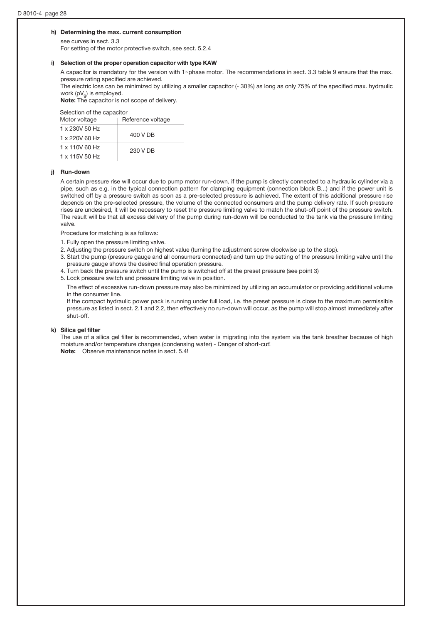#### h) Determining the max. current consumption

 see curves in sect. 3.3 For setting of the motor protective switch, see sect. 5.2.4

#### i) Selection of the proper operation capacitor with type KAW

A capacitor is mandatory for the version with 1~phase motor. The recommendations in sect. 3.3 table 9 ensure that the max. pressure rating specified are achieved.

 The electric loss can be minimized by utilizing a smaller capacitor (- 30%) as long as only 75% of the specified max. hydraulic work  $(pV_q)$  is employed.

Note: The capacitor is not scope of delivery.

#### Selection of the capacitor

| Motor voltage         | Reference voltage |  |  |
|-----------------------|-------------------|--|--|
| $1 \times 230V$ 50 Hz |                   |  |  |
| 1 x 220V 60 Hz        | 400 V DB          |  |  |
| $1 \times 110V$ 60 Hz | 230 V DB          |  |  |
| 1 x 115V 50 Hz        |                   |  |  |

#### j) Run-down

 A certain pressure rise will occur due to pump motor run-down, if the pump is directly connected to a hydraulic cylinder via a pipe, such as e.g. in the typical connection pattern for clamping equipment (connection block B...) and if the power unit is switched off by a pressure switch as soon as a pre-selected pressure is achieved. The extent of this additional pressure rise depends on the pre-selected pressure, the volume of the connected consumers and the pump delivery rate. If such pressure rises are undesired, it will be necessary to reset the pressure limiting valve to match the shut-off point of the pressure switch. The result will be that all excess delivery of the pump during run-down will be conducted to the tank via the pressure limiting valve.

Procedure for matching is as follows:

- 1. Fully open the pressure limiting valve.
- 2. Adjusting the pressure switch on highest value (turning the adjustment screw clockwise up to the stop).
- 3. Start the pump (pressure gauge and all consumers connected) and turn up the setting of the pressure limiting valve until the
- pressure gauge shows the desired final operation pressure. 4. Turn back the pressure switch until the pump is switched off at the preset pressure (see point 3)
- 5. Lock pressure switch and pressure limiting valve in position.

The effect of excessive run-down pressure may also be minimized by utilizing an accumulator or providing additional volume in the consumer line.

If the compact hydraulic power pack is running under full load, i.e. the preset pressure is close to the maximum permissible pressure as listed in sect. 2.1 and 2.2, then effectively no run-down will occur, as the pump will stop almost immediately after shut-off.

#### k) Silica gel filter

 The use of a silica gel filter is recommended, when water is migrating into the system via the tank breather because of high moisture and/or temperature changes (condensing water) - Danger of short-cut! Note: Observe maintenance notes in sect. 5.4!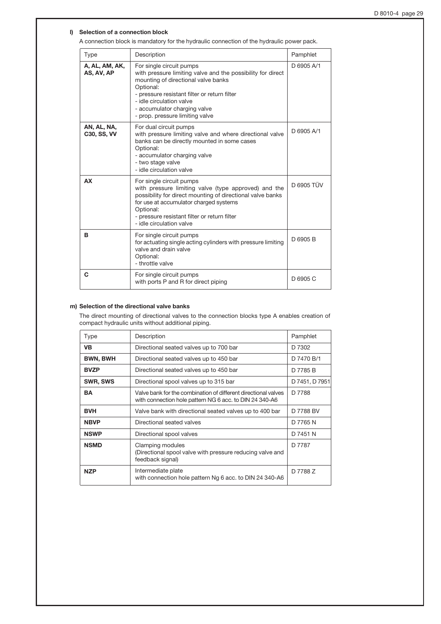#### l) Selection of a connection block

A connection block is mandatory for the hydraulic connection of the hydraulic power pack.

| Type                              | Description                                                                                                                                                                                                                                                                                | Pamphlet   |
|-----------------------------------|--------------------------------------------------------------------------------------------------------------------------------------------------------------------------------------------------------------------------------------------------------------------------------------------|------------|
| A, AL, AM, AK,<br>AS, AV, AP      | For single circuit pumps<br>with pressure limiting valve and the possibility for direct<br>mounting of directional valve banks<br>Optional:<br>- pressure resistant filter or return filter<br>- idle circulation valve<br>- accumulator charging valve<br>- prop. pressure limiting valve | D 6905 A/1 |
| AN, AL, NA,<br><b>C30, SS, VV</b> | For dual circuit pumps<br>with pressure limiting valve and where directional valve<br>banks can be directly mounted in some cases<br>Optional:<br>- accumulator charging valve<br>- two stage valve<br>- idle circulation valve                                                            | D 6905 A/1 |
| <b>AX</b>                         | For single circuit pumps<br>with pressure limiting valve (type approved) and the<br>possibility for direct mounting of directional valve banks<br>for use at accumulator charged systems<br>Optional:<br>- pressure resistant filter or return filter<br>- idle circulation valve          | D 6905 TÜV |
| в                                 | For single circuit pumps<br>for actuating single acting cylinders with pressure limiting<br>valve and drain valve<br>Optional:<br>- throttle valve                                                                                                                                         | D 6905 B   |
| C                                 | For single circuit pumps<br>with ports P and R for direct piping                                                                                                                                                                                                                           | D 6905 C   |

### m) Selection of the directional valve banks

The direct mounting of directional valves to the connection blocks type A enables creation of compact hydraulic units without additional piping.

| Type            | Description                                                                                                               | Pamphlet       |
|-----------------|---------------------------------------------------------------------------------------------------------------------------|----------------|
| <b>VB</b>       | Directional seated valves up to 700 bar                                                                                   | D 7302         |
| <b>BWN, BWH</b> | Directional seated valves up to 450 bar                                                                                   | D 7470 B/1     |
| <b>BVZP</b>     | Directional seated valves up to 450 bar                                                                                   | D 7785 B       |
| <b>SWR, SWS</b> | Directional spool valves up to 315 bar                                                                                    | D 7451, D 7951 |
| <b>BA</b>       | Valve bank for the combination of different directional valves<br>with connection hole pattern NG 6 acc. to DIN 24 340-A6 | D 7788         |
| <b>BVH</b>      | Valve bank with directional seated valves up to 400 bar                                                                   | D 7788 BV      |
| <b>NBVP</b>     | Directional seated valves                                                                                                 | D 7765 N       |
| <b>NSWP</b>     | Directional spool valves                                                                                                  | D 7451 N       |
| <b>NSMD</b>     | Clamping modules<br>(Directional spool valve with pressure reducing valve and<br>feedback signal)                         | D 7787         |
| <b>NZP</b>      | Intermediate plate<br>with connection hole pattern Ng 6 acc. to DIN 24 340-A6                                             | D 7788 Z       |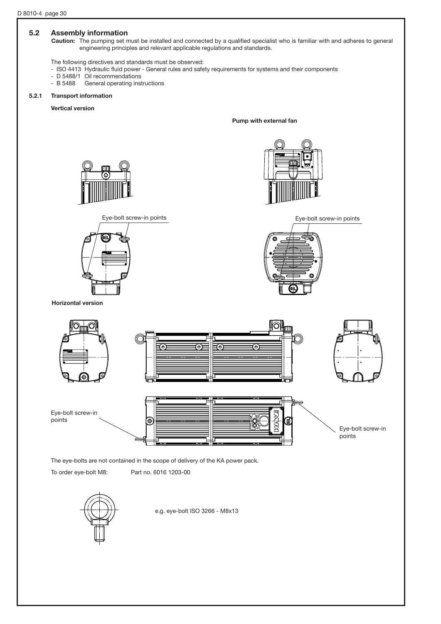#### 5.2 Assembly information

Caution: The pumping set must be installed and connected by a qualified specialist who is familiar with and adheres to general engineering principles and relevant applicable regulations and standards.

The following directives and standards must be observed:

- ISO 4413 Hydraulic fluid power General rules and safety requirements for systems and their components
- D 5488/1 Oil recommendations<br>- B 5488 General operating inst
- General operating instructions

#### 5.2.1 Transport information

Vertical version

Pump with external fan









Horizontal version



The eye-bolts are not contained in the scope of delivery of the KA power pack.

To order eye-bolt M8: Part no. 6016 1203-00



e.g. eye-bolt ISO 3266 - M8x13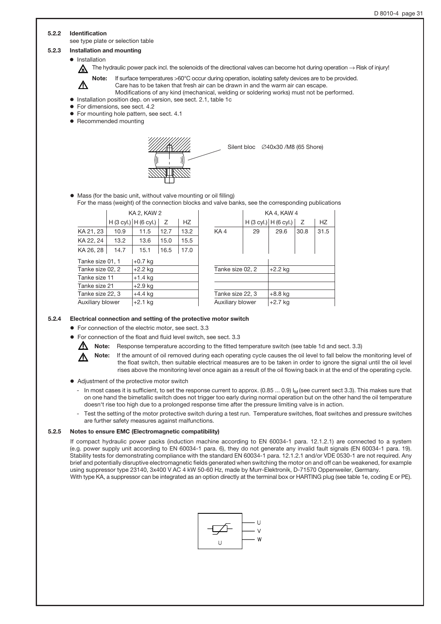#### 5.2.2 Identification

see type plate or selection table

#### 5.2.3 Installation and mounting

 $\bullet$  Installation

The hydraulic power pack incl. the solenoids of the directional valves can become hot during operation  $\rightarrow$  Risk of injury!



Note: If surface temperatures >60°C occur during operation, isolating safety devices are to be provided. Care has to be taken that fresh air can be drawn in and the warm air can escape.

Modifications of any kind (mechanical, welding or soldering works) must not be performed. o Installation position dep. on version, see sect. 2.1, table 1c

- o For dimensions, see sect. 4.2
- o For mounting hole pattern, see sect. 4.1
- o Recommended mounting
- 



Silent bloc  $\oslash$  40x30 /M8 (65 Shore)

o Mass (for the basic unit, without valve mounting or oil filling) For the mass (weight) of the connection blocks and valve banks, see the corresponding publications

|                  | <b>KA 2, KAW 2</b> |                         |      |      |                               |                             | KA 4, KAW 4 |                         |      |           |
|------------------|--------------------|-------------------------|------|------|-------------------------------|-----------------------------|-------------|-------------------------|------|-----------|
|                  |                    | $H(3$ cyl.) $H(6$ cyl.) | Ζ    | HZ   |                               |                             |             | H (3 cyl.)   H (6 cyl.) | Z    | <b>HZ</b> |
| KA 21, 23        | 10.9               | 11.5                    | 12.7 | 13.2 |                               | KA4                         | 29          | 29.6                    | 30.8 | 31.5      |
| KA 22, 24        | 13.2               | 13.6                    | 15.0 | 15.5 |                               |                             |             |                         |      |           |
| KA 26, 28        | 14.7               | 15.1                    | 16.5 | 17.0 |                               |                             |             |                         |      |           |
| Tanke size 01, 1 |                    | $+0.7$ kg               |      |      |                               |                             |             |                         |      |           |
| Tanke size 02, 2 |                    | $+2.2$ kg               |      |      |                               | Tanke size 02, 2<br>+2.2 kg |             |                         |      |           |
| Tanke size 11    |                    | $+1.4$ kg               |      |      |                               |                             |             |                         |      |           |
| Tanke size 21    |                    | $+2.9$ kg               |      |      |                               |                             |             |                         |      |           |
| Tanke size 22, 3 |                    | $+4.4$ kg               |      |      | Tanke size 22, 3<br>$+8.8$ kg |                             |             |                         |      |           |
| Auxiliary blower |                    | $+2.1$ kg               |      |      | Auxiliary blower<br>$+2.7$ kg |                             |             |                         |      |           |

| <b>KA 2, KAW 2</b> |                       |      |                  | KA 4, KAW 4      |                  |                         |           |      |  |
|--------------------|-----------------------|------|------------------|------------------|------------------|-------------------------|-----------|------|--|
|                    | H (3 cyl.) H (6 cyl.) | Z    | <b>HZ</b>        |                  |                  | H (3 cyl.)   H (6 cyl.) | Z         | HZ   |  |
| 10.9               | 11.5                  | 12.7 | 13.2             | KA4              | 29               | 29.6                    | 30.8      | 31.5 |  |
| 13.2               | 13.6                  | 15.0 | 15.5             |                  |                  |                         |           |      |  |
| 14.7               | 15.1                  | 16.5 | 17.0             |                  |                  |                         |           |      |  |
| )1, 1              | +0.7 kg               |      |                  |                  |                  |                         |           |      |  |
| )2, 2              | $+2.2$ kg             |      |                  | Tanke size 02, 2 |                  | $+2.2$ kg               |           |      |  |
| 11                 | $+1.4$ kg             |      |                  |                  |                  |                         |           |      |  |
| 21                 | $+2.9$ kg             |      |                  |                  |                  |                         |           |      |  |
| 22, 3              | $+4.4$ kg             |      |                  |                  | Tanke size 22, 3 |                         | $+8.8$ kg |      |  |
| wer                | $+2.1$ kg             |      | Auxiliary blower |                  | $+2.7$ kg        |                         |           |      |  |

#### 5.2.4 Electrical connection and setting of the protective motor switch

- o For connection of the electric motor, see sect. 3.3
- For connection of the float and fluid level switch, see sect. 3.3
- W
	- Note: Response temperature according to the fitted temperature switch (see table 1d and sect. 3.3)
		- Note: If the amount of oil removed during each operating cycle causes the oil level to fall below the monitoring level of the float switch, then suitable electrical measures are to be taken in order to ignore the signal until the oil level rises above the monitoring level once again as a result of the oil flowing back in at the end of the operating cycle.
- o Adjustment of the protective motor switch
	- In most cases it is sufficient, to set the response current to approx.  $(0.85 ... 0.9)$  I<sub>M</sub> (see current sect 3.3). This makes sure that on one hand the bimetallic switch does not trigger too early during normal operation but on the other hand the oil temperature doesn't rise too high due to a prolonged response time after the pressure limiting valve is in action.
	- Test the setting of the motor protective switch during a test run. Temperature switches, float switches and pressure switches are further safety measures against malfunctions.

#### 5.2.5 Notes to ensure EMC (Electromagnetic compatibility)

If compact hydraulic power packs (induction machine according to EN 60034-1 para. 12.1.2.1) are connected to a system (e.g. power supply unit according to EN 60034-1 para. 6), they do not generate any invalid fault signals (EN 60034-1 para. 19). Stability tests for demonstrating compliance with the standard EN 60034-1 para. 12.1.2.1 and/or VDE 0530-1 are not required. Any brief and potentially disruptive electromagnetic fields generated when switching the motor on and off can be weakened, for example using suppressor type 23140, 3x400 V AC 4 kW 50-60 Hz, made by Murr-Elektronik, D-71570 Oppenweiler, Germany. With type KA, a suppressor can be integrated as an option directly at the terminal box or HARTING plug (see table 1e, coding E or PE).

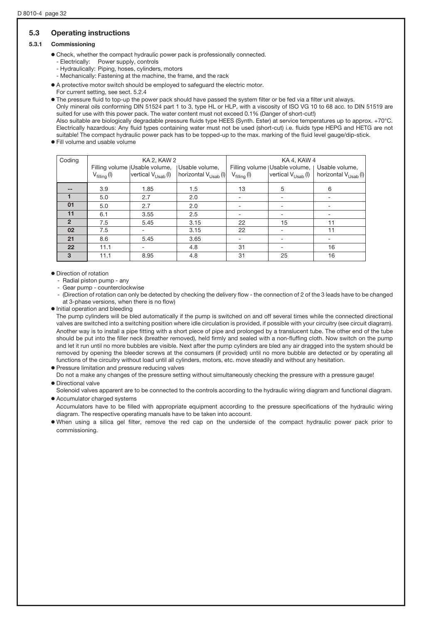# 5.3 Operating instructions

#### 5.3.1 Commissioning

• Check, whether the compact hydraulic power pack is professionally connected.

- Electrically: Power supply, controls
- Hydraulically: Piping, hoses, cylinders, motors
- Mechanically: Fastening at the machine, the frame, and the rack
- o A protective motor switch should be employed to safeguard the electric motor.
- For current setting, see sect. 5.2.4

o The pressure fluid to top-up the power pack should have passed the system filter or be fed via a filter unit always.

Only mineral oils conforming DIN 51524 part 1 to 3, type HL or HLP, with a viscosity of ISO VG 10 to 68 acc. to DIN 51519 are suited for use with this power pack. The water content must not exceed 0.1% (Danger of short-cut!)

Also suitable are biologically degradable pressure fluids type HEES (Synth. Ester) at service temperatures up to approx. +70°C. Electrically hazardous: Any fluid types containing water must not be used (short-cut) i.e. fluids type HEPG and HETG are not suitable! The compact hydraulic power pack has to be topped-up to the max. marking of the fluid level gauge/dip-stick. o Fill volume and usable volume

| Coding         |                         | KA 2, KAW 2                                      |                                                                 | KA 4, KAW 4             |                                 |                                  |  |
|----------------|-------------------------|--------------------------------------------------|-----------------------------------------------------------------|-------------------------|---------------------------------|----------------------------------|--|
|                |                         | Filling volume   Usable volume,   Usable volume, |                                                                 |                         | Filling volume   Usable volume, | Usable volume,                   |  |
|                | $V_{\text{filling}}(I)$ |                                                  | vertical $V_{\text{Usab}}(I)$   horizontal $V_{\text{Usab}}(I)$ | $V_{\text{filling}}(I)$ | vertical $V_{Usab}$ (I)         | horizontal V <sub>Usab</sub> (I) |  |
|                | 3.9                     | 1.85                                             | 1.5                                                             | 13                      | 5                               | 6                                |  |
|                | 5.0                     | 2.7                                              | 2.0                                                             |                         |                                 |                                  |  |
| 01             | 5.0                     | 2.7                                              | 2.0                                                             |                         |                                 |                                  |  |
| 11             | 6.1                     | 3.55                                             | 2.5                                                             |                         |                                 |                                  |  |
| $\overline{2}$ | 7.5                     | 5.45                                             | 3.15                                                            | 22                      | 15                              | 11                               |  |
| 02             | 7.5                     |                                                  | 3.15                                                            | 22                      | ۰                               | 11                               |  |
| 21             | 8.6                     | 5.45                                             | 3.65                                                            | -                       | -                               |                                  |  |
| 22             | 11.1                    |                                                  | 4.8                                                             | 31                      | -                               | 16                               |  |
| 3              | 11.1                    | 8.95                                             | 4.8                                                             | 31                      | 25                              | 16                               |  |

#### o Direction of rotation

- Radial piston pump any
- Gear pump counterclockwise

(Direction of rotation can only be detected by checking the delivery flow - the connection of 2 of the 3 leads have to be changed at 3-phase versions, when there is no flow)

o Initial operation and bleeding

The pump cylinders will be bled automatically if the pump is switched on and off several times while the connected directional valves are switched into a switching position where idle circulation is provided, if possible with your circuitry (see circuit diagram). Another way is to install a pipe fitting with a short piece of pipe and prolonged by a translucent tube. The other end of the tube should be put into the filler neck (breather removed), held firmly and sealed with a non-fluffing cloth. Now switch on the pump and let it run until no more bubbles are visible. Next after the pump cylinders are bled any air dragged into the system should be removed by opening the bleeder screws at the consumers (if provided) until no more bubble are detected or by operating all functions of the circuitry without load until all cylinders, motors, etc. move steadily and without any hesitation.

o Pressure limitation and pressure reducing valves

Do not a make any changes of the pressure setting without simultaneously checking the pressure with a pressure gauge! o Directional valve

Solenoid valves apparent are to be connected to the controls according to the hydraulic wiring diagram and functional diagram. o Accumulator charged systems

Accumulators have to be filled with appropriate equipment according to the pressure specifications of the hydraulic wiring diagram. The respective operating manuals have to be taken into account.

o When using a silica gel filter, remove the red cap on the underside of the compact hydraulic power pack prior to commissioning.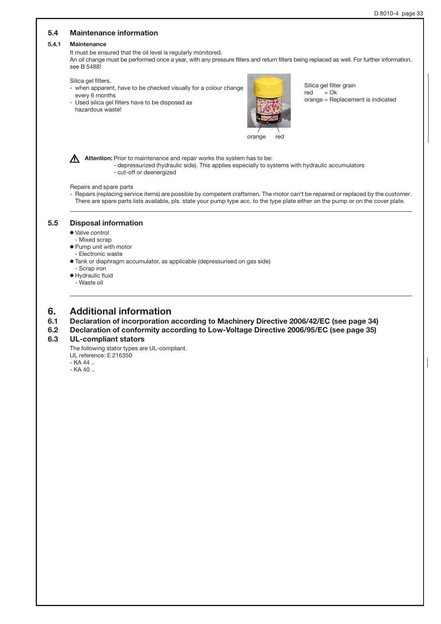# 5.4 Maintenance information 5.4.1 Maintenance It must be ensured that the oil level is regularly monitored. An oil change must be performed once a year, with any pressure filters and return filters being replaced as well. For further information, see B 5488! Silica gel filters, - when apparent, have to be checked visually for a colour change every 6 months - Used silica gel filters have to be disposed as hazardous waste! Attention: Prior to maintenance and repair works the system has to be: - depressurized (hydraulic side). This applies especially to systems with hydraulic accumulators - cut-off or deenergized Repairs and spare parts - Repairs (replacing service items) are possible by competent craftsmen. The motor can't be repaired or replaced by the customer. There are spare parts lists available, pls. state your pump type acc. to the type plate either on the pump or on the cover plate. Silica gel filter grain  $red = Ok$ orange = Replacement is indicated 5.5 Disposal information o Valve control - Mixed scrap o Pump unit with motor - Electronic waste o Tank or diaphragm accumulator, as applicable (depressurised on gas side) - Scrap iron o Hydraulic fluid - Waste oil orange red

# 6. Additional information

- 6.1 Declaration of incorporation according to Machinery Directive 2006/42/EC (see page 34)
- 6.2 Declaration of conformity according to Low-Voltage Directive 2006/95/EC (see page 35)

### 6.3 UL-compliant stators

The following stator types are UL-compliant.

- UL reference: E 216350
- $-KA 44$
- KA 40 ..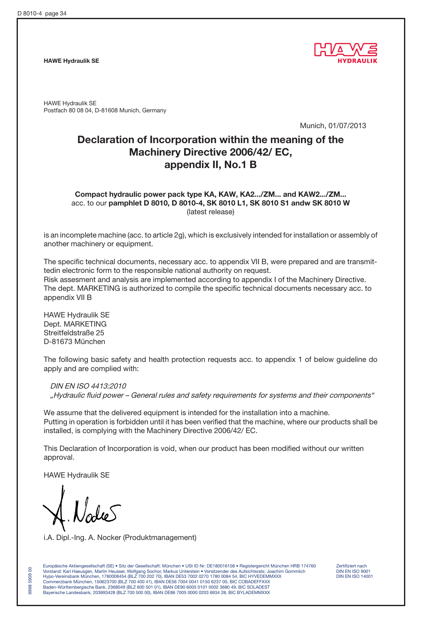HAWE Hydraulik SE



HAWE Hydraulik SE Postfach 80 08 04, D-81608 Munich, Germany

Munich, 01/07/2013

# Declaration of Incorporation within the meaning of the Machinery Directive 2006/42/ EC, appendix II, No.1 B

Compact hydraulic power pack type KA, KAW, KA2.../ZM... and KAW2.../ZM... acc. to our pamphlet D 8010, D 8010-4, SK 8010 L1, SK 8010 S1 andw SK 8010 W (latest release)

is an incomplete machine (acc. to article 2g), which is exclusively intended for installation or assembly of another machinery or equipment.

The specific technical documents, necessary acc. to appendix VII B, were prepared and are transmittedin electronic form to the responsible national authority on request. Risk assesment and analysis are implemented according to appendix I of the Machinery Directive. The dept. MARKETING is authorized to compile the specific technical documents necessary acc. to appendix VII B

HAWE Hydraulik SE Dept. MARKETING Streitfeldstraße 25 D-81673 München

The following basic safety and health protection requests acc. to appendix 1 of below guideline do apply and are complied with:

DIN EN ISO 4413:2010 "Hydraulic fluid power – General rules and safety requirements for systems and their components"

We assume that the delivered equipment is intended for the installation into a machine. Putting in operation is forbidden until it has been verified that the machine, where our products shall be installed, is complying with the Machinery Directive 2006/42/ EC.

This Declaration of Incorporation is void, when our product has been modified without our written approval.

HAWE Hydraulik SE

9998 5909 00

 $\mathsf{S}$ 5909 9998

i.A. Dipl.-Ing. A. Nocker (Produktmanagement)

Europäische Aktiengesellschaft (SE) • Sitz der Gesellschaft: München • USt ID Nr: DE180016108 • Registergericht München HRB 174760 Zertifiziert nach<br>Vorstand: Karl Haeusgen, Martin Heusser, Wolfgang Sochor, Markus Unterst Vorstand: Karl Haeusgen, Martin Heusser, Wolfgang Sochor, Markus Unterstein • Vorsitzender des Aufsichtsrats: Joachim Gommlich DIN EN ISO 9001 Hypo-Vereinsbank München, 1780008454 (BLZ 700 202 70), IBAN DE53 7002 0270 1780 0084 54, BIC HYVEDEMMXXX DIN EN ISO 14001 Commerzbank München, 150623700 (BLZ 700 400 41), IBAN DE56 7004 0041 0150 6237 00, BIC COBADEFFXXX Baden-Württembergische Bank, 2368049 (BLZ 600 501 01), IBAN DE90 6005 0101 0002 3680 49, BIC SOLADEST Bayerische Landesbank, 203693428 (BLZ 700 500 00), IBAN DE86 7005 0000 0203 6934 28, BIC BYLADEMMXXX